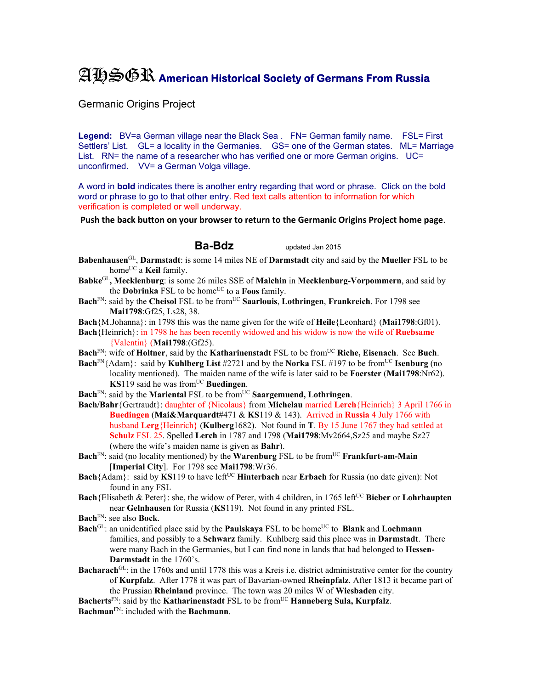## AHSGR **American Historical Society of Germans From Russia**

Germanic Origins Project

Legend: BV=a German village near the Black Sea . FN= German family name. FSL= First Settlers' List. GL= a locality in the Germanies. GS= one of the German states. ML= Marriage List. RN= the name of a researcher who has verified one or more German origins. UC= unconfirmed. VV= a German Volga village.

A word in **bold** indicates there is another entry regarding that word or phrase. Click on the bold word or phrase to go to that other entry. Red text calls attention to information for which verification is completed or well underway.

**Push the back button on your browser to return to the Germanic Origins Project home page**.

## **Ba-Bdz** updated Jan 2015

**Babenhausen**GL, **Darmstadt**: is some 14 miles NE of **Darmstadt** city and said by the **Mueller** FSL to be home<sup>UC</sup> a **Keil** family.

- **Babke**GL**, Mecklenburg**: is some 26 miles SSE of **Malchin** in **Mecklenburg-Vorpommern**, and said by the **Dobrinka** FSL to be home<sup>UC</sup> to a **Foos** family.
- **Bach**<sup>FN</sup>: said by the **Cheisol** FSL to be from<sup>UC</sup> **Saarlouis**, **Lothringen**, **Frankreich**. For 1798 see **Mai1798**:Gf25, Ls28, 38.

**Bach**{M.Johanna}: in 1798 this was the name given for the wife of **Heile**{Leonhard} (**Mai1798**:Gf01).

- **Bach**{Heinrich}: in 1798 he has been recently widowed and his widow is now the wife of **Ruebsame** {Valentin} (**Mai1798**:(Gf25).
- **Bach**FN: wife of **Holtner**, said by the **Katharinenstadt** FSL to be fromUC **Riche, Eisenach**. See **Buch**.
- **Bach**<sup>FN</sup>{Adam}: said by **Kuhlberg List** #2721 and by the **Norka** FSL #197 to be from<sup>UC</sup> **Isenburg** (no locality mentioned). The maiden name of the wife is later said to be **Foerster** (**Mai1798**:Nr62). **KS**119 said he was from<sup>UC</sup> **Buedingen**.
- **Bach**<sup>FN</sup>: said by the **Mariental** FSL to be from<sup>UC</sup> **Saargemuend, Lothringen**.
- **Bach/Bahr**{Gertraudt}: daughter of {Nicolaus} from **Michelau** married **Lerch**{Heinrich} 3 April 1766 in **Buedingen** (**Mai&Marquardt**#471 & **KS**119 & 143). Arrived in **Russia** 4 July 1766 with husband **Lerg**{Heinrich} (**Kulberg**1682). Not found in **T**. By 15 June 1767 they had settled at **Schulz** FSL 25. Spelled **Lerch** in 1787 and 1798 (**Mai1798**:Mv2664,Sz25 and maybe Sz27 (where the wife's maiden name is given as **Bahr**).
- Bach<sup>FN</sup>: said (no locality mentioned) by the **Warenburg** FSL to be from<sup>UC</sup> **Frankfurt-am-Main** [**Imperial City**]. For 1798 see **Mai1798**:Wr36.
- **Bach**{Adam}: said by **KS**119 to have left<sup>UC</sup> **Hinterbach** near **Erbach** for Russia (no date given): Not found in any FSL
- **Bach**{Elisabeth & Peter}: she, the widow of Peter, with 4 children, in 1765 left<sup>UC</sup> Bieber or Lohrhaupten near **Gelnhausen** for Russia (**KS**119). Not found in any printed FSL.
- **Bach**FN: see also **Bock**.
- **Bach**<sup>GL</sup>: an unidentified place said by the **Paulskaya** FSL to be home<sup>UC</sup> to **Blank** and **Lochmann** families, and possibly to a **Schwarz** family. Kuhlberg said this place was in **Darmstadt**. There were many Bach in the Germanies, but I can find none in lands that had belonged to **Hessen-Darmstadt** in the 1760's.
- **Bacharach**<sup>GL</sup>: in the 1760s and until 1778 this was a Kreis i.e. district administrative center for the country of **Kurpfalz**. After 1778 it was part of Bavarian-owned **Rheinpfalz**. After 1813 it became part of the Prussian **Rheinland** province. The town was 20 miles W of **Wiesbaden** city.

Bacherts<sup>FN</sup>: said by the **Katharinenstadt** FSL to be from<sup>UC</sup> **Hanneberg Sula, Kurpfalz**. **Bachman**FN: included with the **Bachmann**.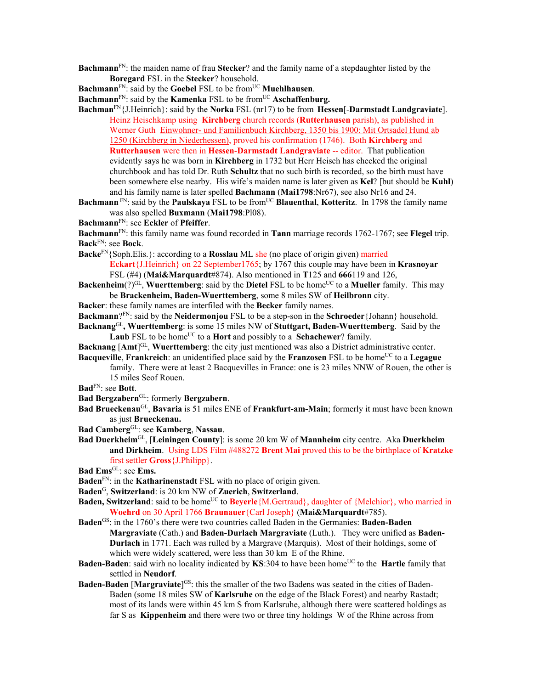- **Bachmann**FN: the maiden name of frau **Stecker**? and the family name of a stepdaughter listed by the **Boregard** FSL in the **Stecker**? household.
- **Bachmann**<sup>FN</sup>: said by the **Goebel** FSL to be from<sup>UC</sup> **Muehlhausen**.
- **Bachmann**<sup>FN</sup>: said by the **Kamenka** FSL to be from<sup>UC</sup> **Aschaffenburg.**
- **Bachman**FN{J.Heinrich}: said by the **Norka** FSL (nr17) to be from **Hessen**[-**Darmstadt Landgraviate**]. Heinz Heischkamp using **Kirchberg** church records (**Rutterhausen** parish), as published in Werner Guth Einwohner- und Familienbuch Kirchberg, 1350 bis 1900: Mit Ortsadel Hund ab 1250 (Kirchberg in Niederhessen), proved his confirmation (1746). Both **Kirchberg** and **Rutterhausen** were then in **Hessen**-**Darmstadt Landgraviate** -- editor. That publication evidently says he was born in **Kirchberg** in 1732 but Herr Heisch has checked the original churchbook and has told Dr. Ruth **Schultz** that no such birth is recorded, so the birth must have been somewhere else nearby. His wife's maiden name is later given as **Kel**? [but should be **Kuhl**) and his family name is later spelled **Bachmann** (**Mai1798**:Nr67), see also Nr16 and 24.
- **Bachmann** FN: said by the **Paulskaya** FSL to be from<sup>UC</sup> **Blauenthal**, **Kotteritz**. In 1798 the family name was also spelled **Buxmann** (**Mai1798**:Pl08).
- **Bachmann**FN: see **Eckler** of **Pfeiffer**.
- **Bachmann**FN: this family name was found recorded in **Tann** marriage records 1762-1767; see **Flegel** trip. **Back**FN: see **Bock**.
- **Backe**FN{Soph.Elis.}: according to a **Rosslau** ML she (no place of origin given) married **Eckart**{J.Heinrich} on 22 September1765; by 1767 this couple may have been in **Krasnoyar** FSL (#4) (**Mai&Marquardt**#874). Also mentioned in **T**125 and **666**119 and 126,
- **Backenheim**(?)<sup>GL</sup>, **Wuerttemberg**: said by the **Dietel** FSL to be home<sup>UC</sup> to a **Mueller** family. This may be **Brackenheim, Baden-Wuerttemberg**, some 8 miles SW of **Heilbronn** city.
- **Backer**: these family names are interfiled with the **Becker** family names.

**Backmann**?FN: said by the **Neidermonjou** FSL to be a step-son in the **Schroeder**{Johann} household. **Backnang**GL**, Wuerttemberg**: is some 15 miles NW of **Stuttgart, Baden-Wuerttemberg**. Said by the

- **Laub** FSL to be home<sup>UC</sup> to a **Hort** and possibly to a **Schachewer**? family.
- **Backnang** [Amt]<sup>GL</sup>, Wuerttemberg: the city just mentioned was also a District administrative center. **Bacqueville, Frankreich**: an unidentified place said by the **Franzosen** FSL to be home<sup>UC</sup> to a Legague
- family. There were at least 2 Bacquevilles in France: one is 23 miles NNW of Rouen, the other is 15 miles Seof Rouen.

**Bad**FN: see **Bott**.

- **Bad Bergzabern**GL: formerly **Bergzabern**.
- **Bad Brueckenau**GL, **Bavaria** is 51 miles ENE of **Frankfurt-am-Main**; formerly it must have been known as just **Brueckenau.**
- **Bad Camberg**GL: see **Kamberg**, **Nassau**.
- **Bad Duerkheim**GL, [**Leiningen County**]: is some 20 km W of **Mannheim** city centre. Aka **Duerkheim and Dirkheim**. Using LDS Film #488272 **Brent Mai** proved this to be the birthplace of **Kratzke** first settler **Gross**{J.Philipp}.
- Bad Ems<sup>GL</sup>: see Ems.
- **Baden**FN: in the **Katharinenstadt** FSL with no place of origin given.
- **Baden**G, **Switzerland**: is 20 km NW of **Zuerich**, **Switzerland**.
- **Baden, Switzerland**: said to be home<sup>UC</sup> to **Beyerle**{M.Gertraud}, daughter of {Melchior}, who married in **Woehrd** on 30 April 1766 **Braunauer**{Carl Joseph} (**Mai&Marquardt**#785).
- **Baden**GS: in the 1760's there were two countries called Baden in the Germanies: **Baden-Baden Margraviate** (Cath.) and **Baden-Durlach Margraviate** (Luth.). They were unified as **Baden-Durlach** in 1771. Each was rulled by a Margrave (Marquis). Most of their holdings, some of which were widely scattered, were less than 30 km E of the Rhine.
- **Baden-Baden**: said wirh no locality indicated by **KS**:304 to have been home<sup>UC</sup> to the **Hartle** family that settled in **Neudorf**.
- **Baden-Baden [Margraviate]<sup>GS</sup>:** this the smaller of the two Badens was seated in the cities of Baden-Baden (some 18 miles SW of **Karlsruhe** on the edge of the Black Forest) and nearby Rastadt; most of its lands were within 45 km S from Karlsruhe, although there were scattered holdings as far S as **Kippenheim** and there were two or three tiny holdings W of the Rhine across from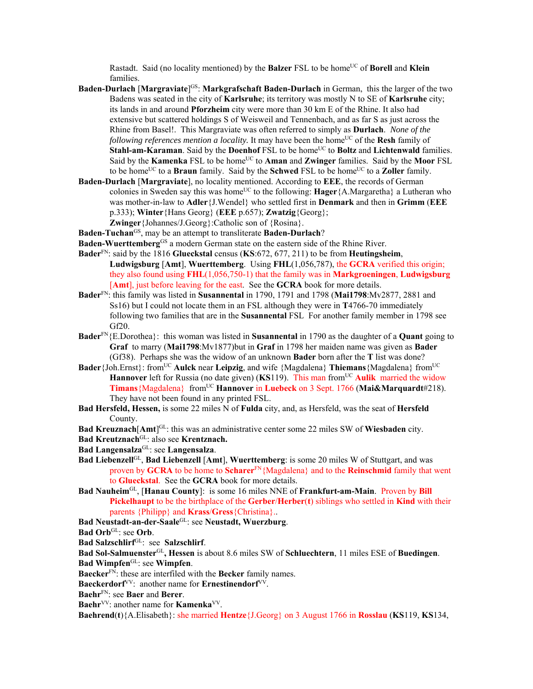Rastadt. Said (no locality mentioned) by the **Balzer** FSL to be home<sup>UC</sup> of **Borell** and **Klein** families.

- **Baden-Durlach [Margraviate]<sup>GS</sup>: Markgrafschaft Baden-Durlach in German, this the larger of the two** Badens was seated in the city of **Karlsruhe**; its territory was mostly N to SE of **Karlsruhe** city; its lands in and around **Pforzheim** city were more than 30 km E of the Rhine. It also had extensive but scattered holdings S of Weisweil and Tennenbach, and as far S as just across the Rhine from Basel!. This Margraviate was often referred to simply as **Durlach**. *None of the following references mention a locality.* It may have been the home<sup>UC</sup> of the **Resh** family of **Stahl-am-Karaman**. Said by the **Doenhof** FSL to be home<sup>UC</sup> to **Boltz** and **Lichtenwald** families. Said by the **Kamenka** FSL to be home<sup>UC</sup> to **Aman** and **Zwinger** families. Said by the **Moor** FSL to be home<sup>UC</sup> to a **Braun** family. Said by the **Schwed** FSL to be home<sup>UC</sup> to a **Zoller** family.
- **Baden-Durlach** [**Margraviate**], no locality mentioned. According to **EEE**, the records of German colonies in Sweden say this was home<sup>UC</sup> to the following: **Hager** {A.Margaretha} a Lutheran who was mother-in-law to **Adler**{J.Wendel} who settled first in **Denmark** and then in **Grimm** (**EEE** p.333); **Winter**{Hans Georg} (**EEE** p.657); **Zwatzig**{Georg}; **Zwinger**{Johannes/J.Georg}:Catholic son of {Rosina}.

**Baden-Tuchan**GS, may be an attempt to transliterate **Baden-Durlach**?

- **Baden-Wuerttemberg**<sup>GS</sup> a modern German state on the eastern side of the Rhine River.
- **Bader**FN: said by the 1816 **Glueckstal** census (**KS**:672, 677, 211) to be from **Heutingsheim**, **Ludwigsburg** [**Amt**], **Wuerttemberg**. Using **FHL**(1,056,787), the **GCRA** verified this origin; they also found using **FHL**(1,056,750-1) that the family was in **Markgroeningen**, **Ludwigsburg** [**Amt**], just before leaving for the east. See the **GCRA** book for more details.
- **Bader**FN: this family was listed in **Susannental** in 1790, 1791 and 1798 (**Mai1798**:Mv2877, 2881 and Ss16) but I could not locate them in an FSL although they were in **T**4766-70 immediately following two families that are in the **Susannental** FSL For another family member in 1798 see Gf20.
- **Bader**FN{E.Dorothea}: this woman was listed in **Susannental** in 1790 as the daughter of a **Quant** going to **Graf** to marry (**Mai1798**:Mv1877)but in **Graf** in 1798 her maiden name was given as **Bader**  (Gf38). Perhaps she was the widow of an unknown **Bader** born after the **T** list was done?
- **Bader** {Joh.Ernst}: from<sup>UC</sup> **Aulck** near **Leipzig**, and wife {Magdalena} **Thiemans** {Magdalena} from<sup>UC</sup> **Hannover** left for Russia (no date given) (**KS**119). This man from<sup>UC</sup> Aulik married the widow **Timans**{Magdalena} fromUC **Hannover** in **Luebeck** on 3 Sept. 1766 (**Mai&Marquardt**#218). They have not been found in any printed FSL.
- **Bad Hersfeld, Hessen,** is some 22 miles N of **Fulda** city, and, as Hersfeld, was the seat of **Hersfeld** County.

Bad Kreuznach<sup>[Amt]GL</sup>: this was an administrative center some 22 miles SW of Wiesbaden city.

- **Bad Kreutznach**GL: also see **Krentznach.**
- **Bad Langensalza**GL: see **Langensalza**.
- **Bad Liebenzell**GL, **Bad Liebenzell** [**Amt**], **Wuerttemberg**: is some 20 miles W of Stuttgart, and was proven by **GCRA** to be home to **Scharer**FN{Magdalena} and to the **Reinschmid** family that went to **Glueckstal**. See the **GCRA** book for more details.
- **Bad Nauheim**GL, [**Hanau County**]: is some 16 miles NNE of **Frankfurt-am-Main**. Proven by **Bill Pickelhaupt** to be the birthplace of the **Gerber**/**Herber**(**t**) siblings who settled in **Kind** with their parents {Philipp} and **Krass**/**Gress**{Christina}..
- **Bad Neustadt-an-der-Saale**GL: see **Neustadt, Wuerzburg**.

Bad Orb<sup>GL</sup>: see Orb.

**Bad Salzschlirf**GL: see **Salzschlirf**.

**Bad Sol-Salmuenster**GL**, Hessen** is about 8.6 miles SW of **Schluechtern**, 11 miles ESE of **Buedingen**.

**Bad Wimpfen**GL: see **Wimpfen**.

**Baecker**<sup>FN</sup>: these are interfiled with the **Becker** family names.

**Baeckerdorf**<sup>VV</sup>: another name for **Ernestinendorf**<sup>VV</sup>.

**Baehr**FN: see **Baer** and **Berer**.

Baehr<sup>VV</sup>: another name for **Kamenka<sup>VV</sup>.** 

**Baehrend**(**t**){A.Elisabeth}: she married **Hentze**{J.Georg} on 3 August 1766 in **Rosslau** (**KS**119, **KS**134,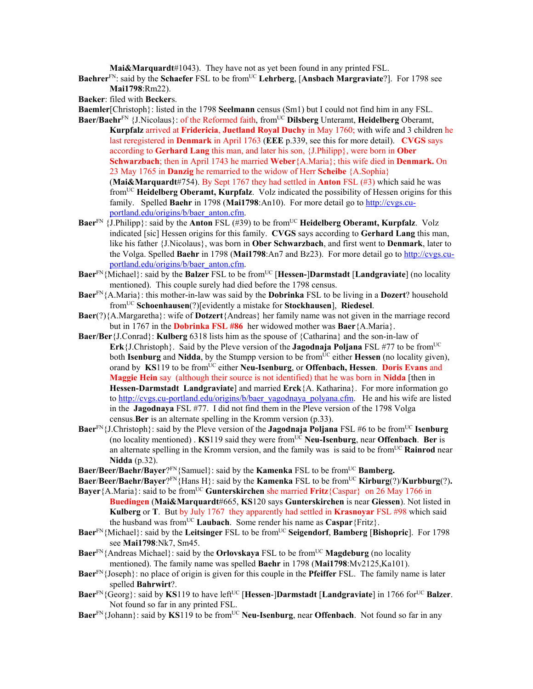**Mai&Marquardt**#1043). They have not as yet been found in any printed FSL.

**Baehrer**<sup>FN</sup>: said by the **Schaefer** FSL to be from<sup>UC</sup> Lehrberg, [Ansbach Margraviate?]. For 1798 see **Mai1798**:Rm22).

**Baeker**: filed with **Becker**s.

**Baemler**[Christoph}: listed in the 1798 **Seelmann** census (Sm1) but I could not find him in any FSL.

- **Baer/Baehr**<sup>FN</sup> {J.Nicolaus}: of the Reformed faith, from<sup>UC</sup> Dilsberg Unteramt, Heidelberg Oberamt, **Kurpfalz** arrived at **Fridericia**, **Juetland Royal Duchy** in May 1760; with wife and 3 children he last reregistered in **Denmark** in April 1763 (**EEE** p.339, see this for more detail). **CVGS** says according to **Gerhard Lang** this man, and later his son, {J.Philipp}, were born in **Ober Schwarzbach**; then in April 1743 he married **Weber**{A.Maria}; this wife died in **Denmark.** On 23 May 1765 in **Danzig** he remarried to the widow of Herr **Scheibe** {A.Sophia} (**Mai&Marquardt**#754). By Sept 1767 they had settled in **Anton** FSL (#3) which said he was fromUC **Heidelberg Oberamt, Kurpfalz**. Volz indicated the possibility of Hessen origins for this family. Spelled **Baehr** in 1798 (**Mai1798**:An10). For more detail go to http://cvgs.cuportland.edu/origins/b/baer\_anton.cfm.
- **Baer**<sup>FN</sup> {J.Philipp}: said by the **Anton** FSL (#39) to be from<sup>UC</sup> **Heidelberg Oberamt, Kurpfalz**. Volz indicated [sic] Hessen origins for this family. **CVGS** says according to **Gerhard Lang** this man, like his father {J.Nicolaus}, was born in **Ober Schwarzbach**, and first went to **Denmark**, later to the Volga. Spelled **Baehr** in 1798 (**Mai1798**:An7 and Bz23). For more detail go to http://cvgs.cuportland.edu/origins/b/baer\_anton.cfm.
- **Baer**<sup>FN</sup>{Michael}: said by the **Balzer** FSL to be from<sup>UC</sup> [**Hessen-**]Darmstadt [Landgraviate] (no locality mentioned). This couple surely had died before the 1798 census.
- **Baer**FN{A.Maria}: this mother-in-law was said by the **Dobrinka** FSL to be living in a **Dozert**? household fromUC **Schoenhausen**(?)[evidently a mistake for **Stockhausen**], **Riedesel**.
- **Baer**(?){A.Margaretha}: wife of **Dotzert**{Andreas} her family name was not given in the marriage record but in 1767 in the **Dobrinka FSL #86** her widowed mother was **Baer**{A.Maria}.
- **Baer/Ber**{J.Conrad}: **Kulberg** 6318 lists him as the spouse of {Catharina} and the son-in-law of **Erk** {J.Christoph}. Said by the Pleve version of the **Jagodnaja Poljana** FSL #77 to be from<sup>UC</sup> both **Isenburg** and **Nidda**, by the Stumpp version to be from<sup>UC</sup> either **Hessen** (no locality given), orand by **KS**119 to be fromUC either **Neu-Isenburg**, or **Offenbach, Hessen**. **Doris Evans** and **Maggie Hein** say (although their source is not identified) that he was born in **Nidda** [then in **Hessen-Darmstadt Landgraviate**] and married **Erck**{A. Katharina}. For more information go to http://cvgs.cu-portland.edu/origins/b/baer\_yagodnaya\_polyana.cfm. He and his wife are listed in the **Jagodnaya** FSL #77. I did not find them in the Pleve version of the 1798 Volga census.**Ber** is an alternate spelling in the Kromm version (p.33).
- **Baer**<sup>FN</sup>{J.Christoph}: said by the Pleve version of the **Jagodnaja Poljana** FSL #6 to be from<sup>UC</sup> **Isenburg** (no locality mentioned) . **KS**119 said they were fromUC **Neu-Isenburg**, near **Offenbach**. **Ber** is an alternate spelling in the Kromm version, and the family was is said to be from<sup>UC</sup> **Rainrod** near **Nidda** (p.32).
- **Baer/Beer/Baehr/Bayer**?<sup>FN</sup>{Samuel}: said by the **Kamenka** FSL to be from<sup>UC</sup> **Bamberg.**
- **Baer/Beer/Baehr/Bayer**?<sup>FN</sup>{Hans H}: said by the **Kamenka** FSL to be from<sup>UC</sup> **Kirburg**(?)/**Kurbburg**(?). **Bayer**{A.Maria}: said to be fromUC **Gunterskirchen** she married **Fritz**{Caspar} on 26 May 1766 in
- **Buedingen** (**Mai&Marquardt**#665, **KS**120 says **Gunterskirchen** is near **Giessen**). Not listed in **Kulberg** or **T**. But by July 1767 they apparently had settled in **Krasnoyar** FSL #98 which said the husband was from<sup>UC</sup> Laubach. Some render his name as Caspar {Fritz}.
- **Baer**<sup>FN</sup>{Michael}: said by the **Leitsinger** FSL to be from<sup>UC</sup> **Seigendorf**, **Bamberg** [Bishopric]. For 1798 see **Mai1798**:Nk7, Sm45.
- **Baer**<sup>FN</sup>{Andreas Michael}: said by the **Orlovskaya** FSL to be from<sup>UC</sup> **Magdeburg** (no locality mentioned). The family name was spelled **Baehr** in 1798 (**Mai1798**:Mv2125,Ka101).
- **Baer**FN{Joseph}: no place of origin is given for this couple in the **Pfeiffer** FSL. The family name is later spelled **Bahrwirt**?.
- **Baer**<sup>FN</sup>{Georg}: said by **KS**119 to have left<sup>UC</sup> [**Hessen-]Darmstadt** [**Landgraviate**] in 1766 for<sup>UC</sup> **Balzer**. Not found so far in any printed FSL.
- **Baer**<sup>FN</sup>{Johann}: said by **KS**119 to be from<sup>UC</sup> **Neu-Isenburg**, near **Offenbach**. Not found so far in any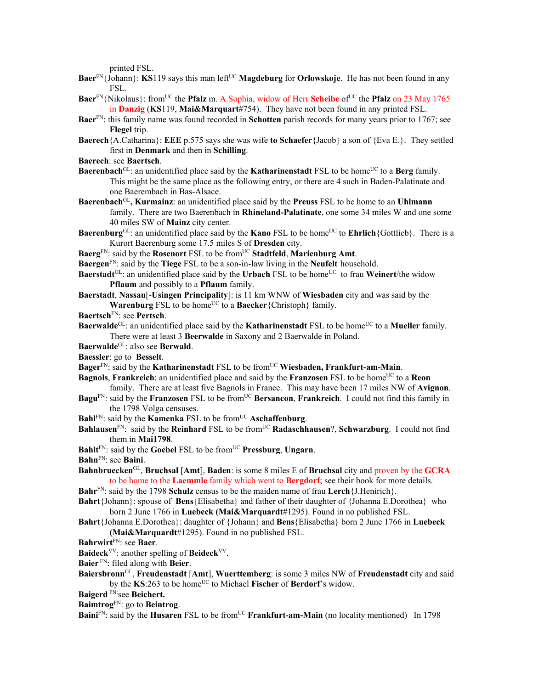printed FSL.

- **Baer**<sup>FN</sup>{Johann}: **KS**119 says this man left<sup>UC</sup> **Magdeburg** for **Orlowskoje**. He has not been found in any FSL.
- **Baer**<sup>FN</sup>{Nikolaus}: from<sup>UC</sup> the **Pfalz** m. A.Sophia, widow of Herr **Scheibe** of<sup>UC</sup> the **Pfalz** on 23 May 1765 in **Danzig** (**KS**119, **Mai&Marquart**#754). They have not been found in any printed FSL.
- **Baer**FN: this family name was found recorded in **Schotten** parish records for many years prior to 1767; see **Flegel** trip.
- **Baerech**{A.Catharina}: **EEE** p.575 says she was wife **to Schaefer**{Jacob} a son of {Eva E.}. They settled first in **Denmark** and then in **Schilling**.
- **Baerech**: see **Baertsch**.
- **Baerenbach**<sup>GL</sup>: an unidentified place said by the **Katharinenstadt** FSL to be home<sup>UC</sup> to a **Berg** family. This might be the same place as the following entry, or there are 4 such in Baden-Palatinate and one Baerembach in Bas-Alsace.
- **Baerenbach**GL**, Kurmainz**: an unidentified place said by the **Preuss** FSL to be home to an **Uhlmann** family. There are two Baerenbach in **Rhineland-Palatinate**, one some 34 miles W and one some 40 miles SW of **Mainz** city center.
- **Baerenburg**<sup>GL</sup>: an unidentified place said by the **Kano** FSL to be home<sup>UC</sup> to **Ehrlich**{Gottlieb}. There is a Kurort Baerenburg some 17.5 miles S of **Dresden** city.
- Baerg<sup>FN</sup>: said by the **Rosenort** FSL to be from<sup>UC</sup> Stadtfeld, Marienburg Amt.
- **Baergen**FN: said by the **Tiege** FSL to be a son-in-law living in the **Neufelt** household.
- **Baerstadt**<sup>GL</sup>: an unidentified place said by the **Urbach** FSL to be home<sup>UC</sup> to frau **Weinert**/the widow **Pflaum** and possibly to a **Pflaum** family.
- **Baerstadt**, **Nassau**[-**Usingen Principality**]: is 11 km WNW of **Wiesbaden** city and was said by the **Warenburg** FSL to be home<sup>UC</sup> to a **Baecker**{Christoph} family.
- **Baertsch**FN: see **Pertsch**.
- **Baerwalde**<sup>GL</sup>: an unidentified place said by the **Katharinenstadt** FSL to be home<sup>UC</sup> to a **Mueller** family. There were at least 3 **Beerwalde** in Saxony and 2 Baerwalde in Poland.
- **Baerwalde**GL: also see **Berwald**.
- **Baessler**: go to **Besselt**.
- **Bager**<sup>FN</sup>: said by the **Katharinenstadt** FSL to be from<sup>UC</sup> Wiesbaden, Frankfurt-am-Main.
- **Bagnols**, **Frankreich**: an unidentified place and said by the **Franzosen** FSL to be home<sup>UC</sup> to a **Reon** family. There are at least five Bagnols in France. This may have been 17 miles NW of **Avignon**.
- **Bagu**FN: said by the **Franzosen** FSL to be fromUC **Bersancon**, **Frankreich**. I could not find this family in the 1798 Volga censuses.
- **Bahl**<sup>FN</sup>: said by the **Kamenka** FSL to be from<sup>UC</sup> **Aschaffenburg**.
- **Bahlausen**<sup>FN</sup>: said by the **Reinhard** FSL to be from<sup>UC</sup> **Radaschhausen**?, **Schwarzburg**. I could not find them in **Mai1798**.
- **Bahlt**FN: said by the **Goebel** FSL to be fromUC **Pressburg**, **Ungarn**.
- **Bahn**FN: see **Baini**.
- **Bahnbruecken**GL, **Bruchsal** [**Amt**], **Baden**: is some 8 miles E of **Bruchsal** city and proven by the **GCRA** to be home to the **Laemmle** family which went to **Bergdorf**; see their book for more details.
- **Bahr**FN: said by the 1798 **Schulz** census to be the maiden name of frau **Lerch**{J.Henirich}.
- **Bahrt**{Johann}: spouse of **Bens**{Elisabetha} and father of their daughter of {Johanna E.Dorothea} who born 2 June 1766 in **Luebeck (Mai&Marquardt**#1295). Found in no published FSL.
- **Bahrt**{Johanna E.Dorothea}: daughter of {Johann} and **Bens**{Elisabetha} born 2 June 1766 in **Luebeck (Mai&Marquardt**#1295). Found in no published FSL.
- **Bahrwirt**FN: see **Baer**.
- **Baideck**VV: another spelling of **Beideck**VV.
- **Baier** FN: filed along with **Beier**.
- **Baiersbronn**GL, **Freudenstadt** [**Amt**], **Wuerttemberg**: is some 3 miles NW of **Freudenstadt** city and said by the KS:263 to be home<sup>UC</sup> to Michael Fischer of Berdorf's widow.
- **Baigerd** FN:see **Beichert.**
- **Baimtrog**FN: go to **Beintrog**.

**Baini**<sup>FN</sup>: said by the **Husaren** FSL to be from<sup>UC</sup> **Frankfurt-am-Main** (no locality mentioned) In 1798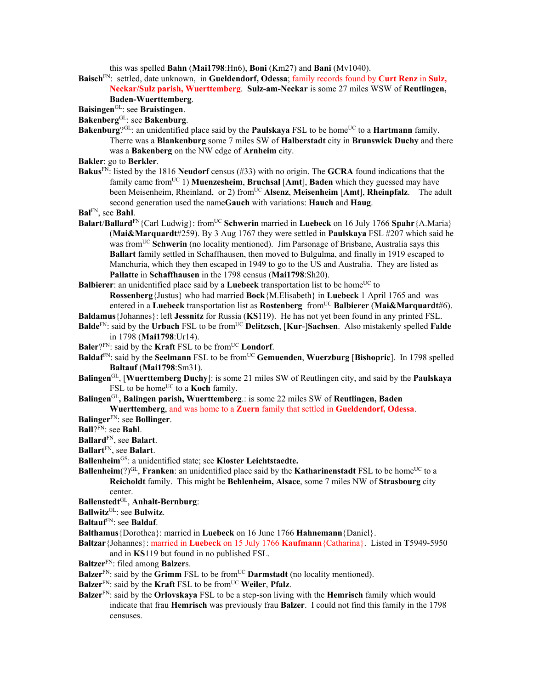this was spelled **Bahn** (**Mai1798**:Hn6), **Boni** (Km27) and **Bani** (Mv1040).

**Baisch**FN: settled, date unknown, in **Gueldendorf, Odessa**; family records found by **Curt Renz** in **Sulz, Neckar/Sulz parish, Wuerttemberg**. **Sulz-am-Neckar** is some 27 miles WSW of **Reutlingen, Baden-Wuerttemberg**.

```
BaisingenGL: see Braistingen.
```
- **Bakenberg**GL: see **Bakenburg**.
- **Bakenburg**?<sup>GL</sup>: an unidentified place said by the **Paulskaya** FSL to be home<sup>UC</sup> to a **Hartmann** family. Therre was a **Blankenburg** some 7 miles SW of **Halberstadt** city in **Brunswick Duchy** and there was a **Bakenberg** on the NW edge of **Arnheim** city.
- **Bakler**: go to **Berkler**.
- **Bakus**FN: listed by the 1816 **Neudorf** census (#33) with no origin. The **GCRA** found indications that the family came fromUC 1) **Muenzesheim**, **Bruchsal** [**Amt**], **Baden** which they guessed may have been Meisenheim, Rheinland, or 2) from<sup>UC</sup> Alsenz, Meisenheim [Amt], Rheinpfalz. The adult second generation used the name**Gauch** with variations: **Hauch** and **Haug**.
- **Bal**FN, see **Bahl**.
- **Balart/Ballard<sup>FN</sup>{Carl Ludwig}: from<sup>UC</sup> Schwerin** married in **Luebeck** on 16 July 1766 **Spahr**{A.Maria} (**Mai&Marquardt**#259). By 3 Aug 1767 they were settled in **Paulskaya** FSL #207 which said he was from<sup>UC</sup> Schwerin (no locality mentioned). Jim Parsonage of Brisbane, Australia says this **Ballart** family settled in Schaffhausen, then moved to Bulgulma, and finally in 1919 escaped to Manchuria, which they then escaped in 1949 to go to the US and Australia. They are listed as **Pallatte** in **Schaffhausen** in the 1798 census (**Mai1798**:Sh20).
- **Balbierer**: an unidentified place said by a **Luebeck** transportation list to be home<sup>UC</sup> to

**Rossenberg**{Justus} who had married **Bock**{M.Elisabeth} in **Luebeck** 1 April 1765 and was entered in a **Luebeck** transportation list as **Rostenberg** fromUC **Balbierer** (**Mai&Marquardt**#6).

- **Baldamus**{Johannes}: left **Jessnitz** for Russia (**KS**119). He has not yet been found in any printed FSL.
- **Balde**<sup>FN</sup>: said by the **Urbach** FSL to be from<sup>UC</sup> **Delitzsch**, [**Kur-**]Sachsen. Also mistakenly spelled **Falde** in 1798 (**Mai1798**:Ur14).
- **Baler**? $F_N$ : said by the **Kraft** FSL to be from<sup>UC</sup> **Londorf**.
- **Baldaf<sup>FN</sup>: said by the Seelmann FSL to be from<sup>UC</sup> Gemuenden, Wuerzburg [Bishopric]. In 1798 spelled Baltauf** (**Mai1798**:Sm31).
- **Balingen**GL, [**Wuerttemberg Duchy**]: is some 21 miles SW of Reutlingen city, and said by the **Paulskaya** FSL to be home<sup>UC</sup> to a **Koch** family.
- **Balingen**GL**, Balingen parish, Wuerttemberg**.: is some 22 miles SW of **Reutlingen, Baden Wuerttemberg**, and was home to a **Zuern** family that settled in **Gueldendorf, Odessa**.
- **Balinger**FN: see **Bollinger**.
- **Ball**?FN: see **Bahl**.
- **Ballard**FN, see **Balart**.
- **Ballart**FN, see **Balart**.
- **Ballenheim**GS: a unidentified state; see **Kloster Leichtstaedte.**
- **Ballenheim**( $2$ )<sup>GL</sup>, **Franken**: an unidentified place said by the **Katharinenstadt** FSL to be home<sup>UC</sup> to a **Reicholdt** family. This might be **Behlenheim, Alsace**, some 7 miles NW of **Strasbourg** city center.
- **Ballenstedt**GL, **Anhalt-Bernburg**:
- **Ballwitz**GL: see **Bulwitz**.
- **Baltauf**FN: see **Baldaf**.
- **Balthamus**{Dorothea}: married in **Luebeck** on 16 June 1766 **Hahnemann**{Daniel}.
- **Baltzar**{Johannes}: married in **Luebeck** on 15 July 1766 **Kaufmann**{Catharina}. Listed in **T**5949-5950 and in **KS**119 but found in no published FSL.
- **Baltzer**FN: filed among **Balzer**s.
- **Balzer**<sup>FN</sup>: said by the **Grimm** FSL to be from<sup>UC</sup> **Darmstadt** (no locality mentioned).
- Balzer<sup>FN</sup>: said by the **Kraft** FSL to be from<sup>UC</sup> Weiler, Pfalz.
- **Balzer**FN: said by the **Orlovskaya** FSL to be a step-son living with the **Hemrisch** family which would indicate that frau **Hemrisch** was previously frau **Balzer**. I could not find this family in the 1798 censuses.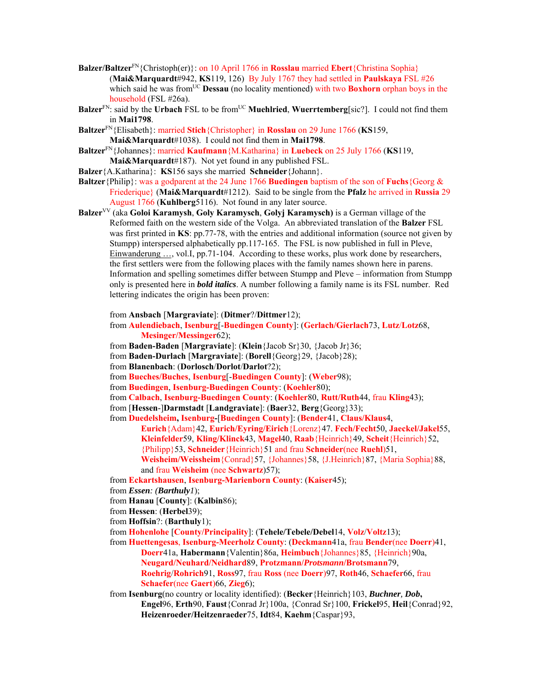- **Balzer/Baltzer**FN{Christoph(er)}: on 10 April 1766 in **Rosslau** married **Ebert**{Christina Sophia} (**Mai&Marquardt**#942, **KS**119, 126) By July 1767 they had settled in **Paulskaya** FSL #26 which said he was from<sup>UC</sup> **Dessau** (no locality mentioned) with two **Boxhorn** orphan boys in the household (FSL #26a).
- **Balzer**<sup>FN</sup>: said by the **Urbach** FSL to be from<sup>UC</sup> **Muehlried**, **Wuerrtemberg**[sic?]. I could not find them in **Mai1798**.
- **Baltzer**FN{Elisabeth}: married **Stich**{Christopher} in **Rosslau** on 29 June 1766 (**KS**159, **Mai&Marquardt**#1038). I could not find them in **Mai1798**.
- **Baltzer**FN{Johannes}: married **Kaufmann**{M.Katharina} in **Luebeck** on 25 July 1766 (**KS**119, **Mai&Marquardt**#187). Not yet found in any published FSL.
- **Balzer**{A.Katharina}: **KS**156 says she married **Schneider**{Johann}.
- **Baltzer**{Philip}: was a godparent at the 24 June 1766 **Buedingen** baptism of the son of **Fuchs**{Georg & Friederique} (**Mai&Marquardt**#1212). Said to be single from the **Pfalz** he arrived in **Russia** 29 August 1766 (**Kuhlberg**5116). Not found in any later source.
- **Balzer**VV (aka **Goloi Karamysh**, **Goly Karamysch**, **Golyj Karamysch)** is a German village of the Reformed faith on the western side of the Volga. An abbreviated translation of the **Balzer** FSL was first printed in **KS**: pp.77-78, with the entries and additional information (source not given by Stumpp) interspersed alphabetically pp.117-165. The FSL is now published in full in Pleve, Einwanderung ..., vol.I, pp.71-104. According to these works, plus work done by researchers, the first settlers were from the following places with the family names shown here in parens. Information and spelling sometimes differ between Stumpp and Pleve – information from Stumpp only is presented here in *bold italics*. A number following a family name is its FSL number. Red lettering indicates the origin has been proven:

from **Ansbach** [**Margraviate**]: (**Ditmer**?/**Dittmer**12);

- from **Aulendiebach**, **Isenburg**[-**Buedingen County**]: (**Gerlach/Gierlach**73, **Lutz**/**Lotz**68, **Mesinger/Messinger**62);
- from **Baden-Baden** [**Margraviate**]: (**Klein**{Jacob Sr}30, {Jacob Jr}36;
- from **Baden-Durlach** [**Margraviate**]: (**Borell**{Georg}29, {Jacob}28);
- from **Blanenbach**: (**Dorlosch**/**Dorlot**/**Darlot**?2);
- from **Bueches/Buches**, **Isenburg**[-**Buedingen County**]: (**Weber**98);
- from **Buedingen**, **Isenburg-Buedingen County**: (**Koehler**80);
- from **Calbach**, **Isenburg-Buedingen County**: (**Koehler**80, **Rutt/Ruth**44, frau **Kling**43);

from [**Hessen**-]**Darmstadt** [**Landgraviate**]: (**Baer**32, **Berg**{Georg}33);

from **Duedelsheim, Isenburg-**[**Buedingen County**]: (**Bender**41, **Claus/Klaus**4,

- **Eurich**{Adam}42, **Eurich/Eyring/Eirich**{Lorenz}47. **Fech/Fecht**50, **Jaeckel/Jakel**55, **Kleinfelder**59, **Kling/Klinck**43, **Magel**40, **Raab**{Heinrich}49, **Scheit**{Heinrich}52, {Philipp}53, **Schneider**{Heinrich}51 and frau **Schneider**(nee **Ruehl**)51, **Weisheim/Weissheim**{Conrad}57, {Johannes}58, {J.Heinrich}87, {Maria Sophia}88, and frau **Weisheim** (nee **Schwartz**)57);
- from **Eckartshausen**, **Isenburg-Marienborn County**: (**Kaiser**45);
- from *Essen: (Barthuly1*);
- from **Hanau** [**County**]: (**Kalbin**86);
- from **Hessen**: (**Herbel**39);
- from **Hoffsin**?: (**Barthuly**1);
- from **Hohenlohe** [**County/Principality**]: (**Tehele/Tebele/Debel**14, **Volz**/**Voltz**13);
- from **Huettengesas**, **Isenburg-Meerholz County**: (**Deckmann**41a, frau **Bender**(nee **Doerr**)41, **Doerr**41a, **Habermann**{Valentin}86a, **Heimbuch**{Johannes}85, {Heinrich}90a, **Neugard/Neuhard/Neidhard**89, **Protzmann/***Protsmann***/Brotsmann**79, **Roehrig**/**Rohrich**91, **Ross**97, frau **Ross** (nee **Doerr**)97, **Roth**46, **Schaefer**66, frau **Schaefer**(nee **Gaert**)66, **Zieg**6);
- from **Isenburg**(no country or locality identified): (**Becker**{Heinrich}103, *Buchner, Dob***, Engel**96, **Erth**90, **Faust**{Conrad Jr}100a, {Conrad Sr}100, **Frickel**95, **Heil**{Conrad}92, **Heizenroeder/Heitzenraeder**75, **Idt**84, **Kaehm**{Caspar}93,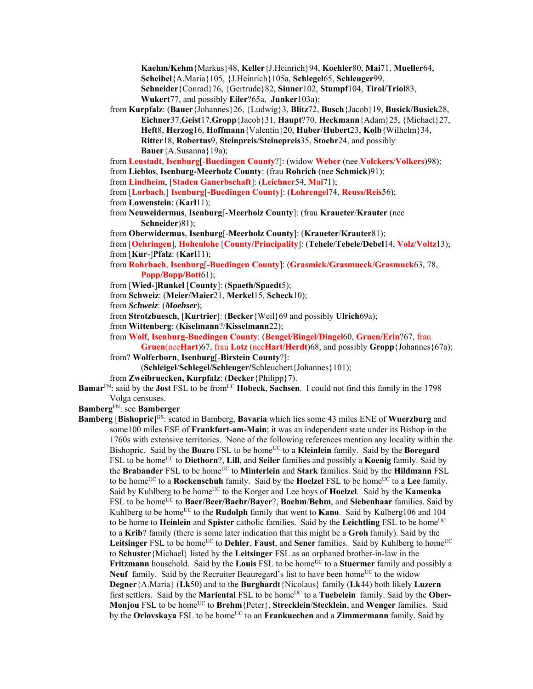**Kaehm/Kehm**{Markus}48, **Keller**{J.Heinrich}94, **Koehler**80, **Mai**71, **Mueller**64, **Scheibel**{A.Maria}105, {J.Heinrich}105a, **Schlegel**65, **Schleuger**99, **Schneider**{Conrad}76, {Gertrude}82, **Sinner**102, **Stumpf**104, **Tirol/Triol**83, **Wukert**77, and possibly **Eiler**?65a, **Junker**103a);

from **Kurpfalz**: (**Bauer**{Johannes}26, {Ludwig}3, **Blitz**72, **Busch**{Jacob}19, **Busick/Busiek**28, **Eichner**37,**Geist**17,**Gropp**{Jacob}31, **Haupt**?70, **Heckmann**{Adam}25, {Michael}27, **Heft**8, **Herzog**16, **Hoffmann**{Valentin}20, **Huber**/**Hubert**23, **Kolb**{Wilhelm}34, **Ritter**18, **Robertus**9, **Steinpreis**/**Steinepreis**35, **Stoehr**24, and possibly **Bauer**{A.Susanna}19a);

from **Leustadt**, **Isenburg**[-**Buedingen County**?]: (widow **Weber** (nee **Volckers**/**Volkers**)98); from **Lieblos**, **Isenburg-Meerholz County**: (frau **Rohrich** (nee **Schmick**)91);

from **Lindheim**, [**Staden Ganerbschaft**]: (**Leichner**54, **Mai**71);

from [**Lorbach**,] **Isenburg**[**-Buedingen County**]: (**Lohrengel**74, **Reuss/Reis**56); from **Lowenstein**: (**Karl**11);

- 
- from **Neuweidermus**, **Isenburg**[-**Meerholz County**]: (frau **Kraueter**/**Krauter** (nee **Schneider**)81);

from **Oberwidermus**, **Isenburg**[-**Meerholz County**]: (**Kraueter**/**Krauter**81);

from [**Oehringen**], **Hohenlohe** [**County/Principality**]: (**Tehele/Tebele/Debel**14, **Volz**/**Voltz**13); from [**Kur**-]**Pfalz**: (**Karl**11);

- from **Rohrbach**, **Isenburg**[-**Buedingen County**]: (**Grasmick/Grasmueck/Grasmuck**63, 78, **Popp/Bopp/Bott**61);
- from [**Wied-**]**Runkel** [**County**]: (**Spaeth/Spaedt**5);
- from **Schweiz**: (**Meier/Maier**21, **Merkel**15, **Scheck**10);
- from *Schweiz*: (*Moehser*);

from **Strotzbuesch**, [**Kurtrier**]: (**Becker**{Weil}69 and possibly **Ulrich**69a);

from **Wittenberg**: (**Kiselmann**?/**Kisselmann**22);

from **Wolf**, **Isenburg-Buedingen County**: (**Bengel/Bingel/Dingel**60, **Gruen/Erin**?67, frau

**Gruen**(nee**Hart**)67, frau **Lotz** (nee**Hart/Herdt**)68, and possibly **Gropp**{Johannes}67a); from? **Wolferborn**, **Isenburg**[-**Birstein County**?]:

(**Schleigel**/**Schlegel/Schleuger/**Schleuchert{Johannes}101);

from **Zweibruecken, Kurpfalz**: (**Decker**{Philipp}7).

**Bamar**<sup>FN</sup>: said by the **Jost** FSL to be from<sup>UC</sup> **Hobeck**, **Sachsen**. I could not find this family in the 1798 Volga censuses.

**Bamberg**FN: see **Bamberger** 

Bamberg [Bishopric]<sup>GS</sup>: seated in Bamberg, Bavaria which lies some 43 miles ENE of Wuerzburg and some100 miles ESE of **Frankfurt-am-Main**; it was an independent state under its Bishop in the 1760s with extensive territories. None of the following references mention any locality within the Bishopric. Said by the **Boaro** FSL to be home<sup>UC</sup> to a **Kleinlein** family. Said by the **Boregard** FSL to be homeUC to **Diethorn**?, **Lill**, and **Seiler** families and possibly a **Koenig** family. Said by the **Brabander** FSL to be home<sup>UC</sup> to **Minterlein** and **Stark** families. Said by the **Hildmann** FSL to be home<sup>UC</sup> to a **Rockenschuh** family. Said by the **Hoelzel** FSL to be home<sup>UC</sup> to a Lee family. Said by Kuhlberg to be home<sup>UC</sup> to the Korger and Lee boys of **Hoelzel**. Said by the **Kamenka** FSL to be homeUC to **Baer/Beer/Baehr/Bayer**?, **Boehm**/**Behm**, and **Siebenhaar** families. Said by Kuhlberg to be home<sup>UC</sup> to the **Rudolph** family that went to **Kano**. Said by Kulberg106 and 104 to be home to **Heinlein** and **Spister** catholic families. Said by the **Leichtling** FSL to be home<sup>UC</sup> to a **Krib**? family (there is some later indication that this might be a **Groh** family). Said by the **Leitsinger** FSL to be home<sup>UC</sup> to **Dehler**, **Faust**, and **Sener** families. Said by Kuhlberg to home<sup>UC</sup> to **Schuster**{Michael} listed by the **Leitsinger** FSL as an orphaned brother-in-law in the **Fritzmann** household. Said by the **Louis** FSL to be home<sup>UC</sup> to a **Stuermer** family and possibly a **Neuf** family. Said by the Recruiter Beauregard's list to have been home<sup>UC</sup> to the widow **Degner**{A.Maria} (**Lk**50) and to the **Burghardt**{Nicolaus} family (**Lk**44) both likely **Luzern** first settlers. Said by the **Mariental** FSL to be home<sup>UC</sup> to a **Tuebelein** family. Said by the **Ober-Monjou** FSL to be homeUC to **Brehm**{Peter}, **Strecklein**/**Stecklein**, and **Wenger** families. Said by the **Orlovskaya** FSL to be home<sup>UC</sup> to an **Frankuechen** and a **Zimmermann** family. Said by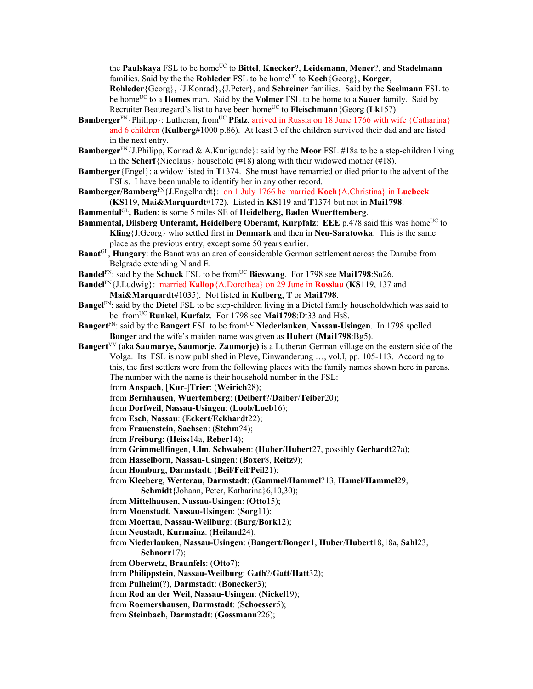the **Paulskaya** FSL to be home<sup>UC</sup> to **Bittel**, **Knecker**?, **Leidemann**, **Mener**?, and **Stadelmann** families. Said by the the **Rohleder** FSL to be home<sup>UC</sup> to **Koch**{Georg}, **Korger**,

**Rohleder**{Georg}, {J.Konrad},{J.Peter}, and **Schreiner** families. Said by the **Seelmann** FSL to be home<sup>UC</sup> to a **Homes** man. Said by the **Volmer** FSL to be home to a **Sauer** family. Said by Recruiter Beauregard's list to have been home<sup>UC</sup> to **Fleischmann** {Georg ( $Lk157$ ).

- **Bamberger**<sup>FN</sup>{Philipp}: Lutheran, from<sup>UC</sup> **Pfalz**, arrived in Russia on 18 June 1766 with wife {Catharina} and 6 children (**Kulberg**#1000 p.86). At least 3 of the children survived their dad and are listed in the next entry.
- **Bamberger**FN{J.Philipp, Konrad & A.Kunigunde}: said by the **Moor** FSL #18a to be a step-children living in the **Scherf**{Nicolaus} household  $(\#18)$  along with their widowed mother  $(\#18)$ .
- **Bamberger**{Engel}: a widow listed in **T**1374. She must have remarried or died prior to the advent of the FSLs. I have been unable to identify her in any other record.
- **Bamberger/Bamberg**FN{J.Engelhardt}: on 1 July 1766 he married **Koch**{A.Christina} in **Luebeck**
- (**KS**119, **Mai&Marquardt**#172). Listed in **KS**119 and **T**1374 but not in **Mai1798**.
- **Bammental**GL**, Baden**: is some 5 miles SE of **Heidelberg, Baden Wuerttemberg**.
- Bammental, Dilsberg Unteramt, Heidelberg Oberamt, Kurpfalz: EEE p.478 said this was home<sup>UC</sup> to **Kling**{J.Georg} who settled first in **Denmark** and then in **Neu-Saratowka**. This is the same place as the previous entry, except some 50 years earlier.
- **Banat**GL, **Hungary**: the Banat was an area of considerable German settlement across the Danube from Belgrade extending N and E.
- **Bandel**<sup>FN</sup>: said by the **Schuck** FSL to be from<sup>UC</sup> **Bieswang**. For 1798 see **Mai1798**:Su26.
- **Bandel**FN{J.Ludwig}: married **Kallop**{A.Dorothea} on 29 June in **Rosslau** (**KS**119, 137 and **Mai&Marquardt**#1035). Not listed in **Kulberg**, **T** or **Mai1798**.
- **Bangel**FN: said by the **Dietel** FSL to be step-children living in a Dietel family householdwhich was said to be fromUC **Runkel**, **Kurfalz**. For 1798 see **Mai1798**:Dt33 and Hs8.
- **Bangert**<sup>FN</sup>: said by the **Bangert** FSL to be from<sup>UC</sup> Niederlauken, Nassau-Usingen. In 1798 spelled **Bonger** and the wife's maiden name was given as **Hubert** (**Mai1798**:Bg5).
- **Bangert**<sup>VV</sup> (aka **Saumarye, Saumorje, Zaumorje)** is a Lutheran German village on the eastern side of the Volga. Its FSL is now published in Pleve, Einwanderung …, vol.I, pp. 105-113. According to this, the first settlers were from the following places with the family names shown here in parens. The number with the name is their household number in the FSL:
	- from **Anspach**, [**Kur**-]**Trier**: (**Weirich**28);
	- from **Bernhausen**, **Wuertemberg**: (**Deibert**?/**Daiber**/**Teiber**20);
	- from **Dorfweil**, **Nassau-Usingen**: (**Loob**/**Loeb**16);
	- from **Esch**, **Nassau**: (**Eckert**/**Eckhardt**22);
	- from **Frauenstein**, **Sachsen**: (**Stehm**?4);
	- from **Freiburg**: (**Heiss**14a, **Reber**14);
	- from **Grimmellfingen**, **Ulm**, **Schwaben**: (**Huber**/**Hubert**27, possibly **Gerhardt**27a);
	- from **Hasselborn**, **Nassau-Usingen**: (**Boxer**8, **Reitz**9);
	- from **Homburg**, **Darmstadt**: (**Beil**/**Feil**/**Peil**21);
	- from **Kleeberg**, **Wetterau**, **Darmstadt**: (**Gammel**/**Hammel**?13, **Hamel**/**Hammel**29, **Schmidt**{Johann, Peter, Katharina}6,10,30);
	- from **Mittelhausen**, **Nassau-Usingen**: (**Otto**15);
	- from **Moenstadt**, **Nassau-Usingen**: (**Sorg**11);
	- from **Moettau**, **Nassau-Weilburg**: (**Burg**/**Bork**12);
	- from **Neustadt**, **Kurmainz**: (**Heiland**24);
	- from **Niederlauken**, **Nassau-Usingen**: (**Bangert**/**Bonger**1, **Huber**/**Hubert**18,18a, **Sahl**23, **Schnorr**17);
	- from **Oberwetz**, **Braunfels**: (**Otto**7);
	- from **Philippstein**, **Nassau-Weilburg**: **Gath**?/**Gatt**/**Hatt**32);
	- from **Pulheim**(?), **Darmstadt**: (**Bonecker**3);
	- from **Rod an der Weil**, **Nassau-Usingen**: (**Nickel**19);
	- from **Roemershausen**, **Darmstadt**: (**Schoesser**5);
	- from **Steinbach**, **Darmstadt**: (**Gossmann**?26);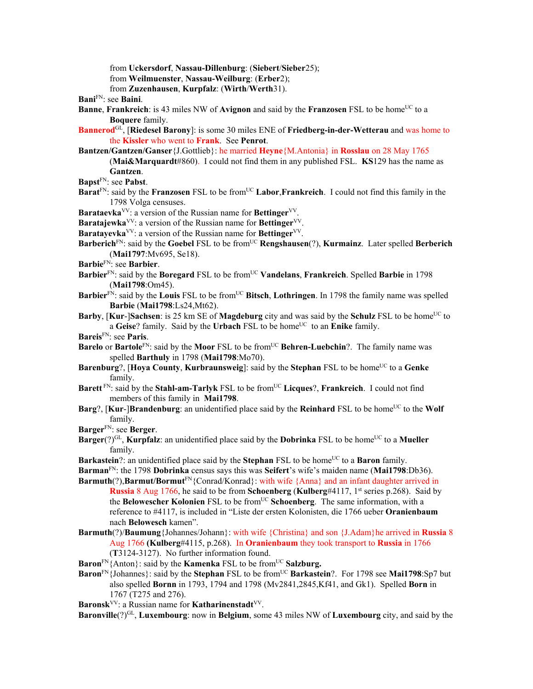from **Uckersdorf**, **Nassau-Dillenburg**: (**Siebert**/**Sieber**25); from **Weilmuenster**, **Nassau-Weilburg**: (**Erber**2); from **Zuzenhausen**, **Kurpfalz**: (**Wirth**/**Werth**31).

- **Bani**FN: see **Baini**.
- **Banne, Frankreich**: is 43 miles NW of **Avignon** and said by the **Franzosen** FSL to be home<sup>UC</sup> to a **Boquere** family.
- **Bannerod**GL, [**Riedesel Barony**]: is some 30 miles ENE of **Friedberg-in-der-Wetterau** and was home to the **Kissler** who went to **Frank**. See **Penrot**.
- **Bantzen/Gantzen/Ganser**{J.Gottlieb}: he married **Heyne**{M.Antonia} in **Rosslau** on 28 May 1765 (**Mai&Marquardt**#860). I could not find them in any published FSL. **KS**129 has the name as **Gantzen**.
- **Bapst**FN: see **Pabst**.
- **Barat**<sup>FN</sup>: said by the **Franzosen** FSL to be from<sup>UC</sup> **Labor**,**Frankreich**. I could not find this family in the 1798 Volga censuses.
- **Barataevka**<sup>VV</sup>: a version of the Russian name for **Bettinger**<sup>VV</sup>.
- **Baratajewka**<sup>VV</sup>: a version of the Russian name for **Bettinger**<sup>VV</sup>.
- **Baratayevka**<sup>VV</sup>: a version of the Russian name for **Bettinger**<sup>VV</sup>.
- Barberich<sup>FN</sup>: said by the Goebel FSL to be from<sup>UC</sup> Rengshausen(?), Kurmainz. Later spelled Berberich (**Mai1797**:Mv695, Se18).
- **Barbie**FN: see **Barbier**.
- **Barbier**FN: said by the **Boregard** FSL to be fromUC **Vandelans**, **Frankreich**. Spelled **Barbie** in 1798 (**Mai1798**:Om45).
- **Barbier**<sup>FN</sup>: said by the **Louis** FSL to be from<sup>UC</sup> **Bitsch**, **Lothringen**. In 1798 the family name was spelled **Barbie** (**Mai1798**:Ls24,Mt62).
- **Barby**, [Kur-]Sachsen: is 25 km SE of Magdeburg city and was said by the Schulz FSL to be home<sup>UC</sup> to a Geise? family. Said by the Urbach FSL to be home<sup>UC</sup> to an Enike family.
- **Bareis**FN: see **Paris**.
- **Barelo** or **Bartole**<sup>FN</sup>: said by the **Moor** FSL to be from<sup>UC</sup> **Behren-Luebchin**?. The family name was spelled **Barthuly** in 1798 (**Mai1798**:Mo70).
- **Barenburg**?, [Hoya County, Kurbraunsweig]: said by the Stephan FSL to be home<sup>UC</sup> to a Genke family.
- **Barett** FN: said by the **Stahl-am-Tarlyk** FSL to be from<sup>UC</sup> Licques?, Frankreich. I could not find members of this family in **Mai1798**.
- **Barg**?, [**Kur-**]**Brandenburg**: an unidentified place said by the **Reinhard** FSL to be home<sup>UC</sup> to the **Wolf** family.
- **Barger**FN: see **Berger**.
- **Barger**(?)<sup>GL</sup>, **Kurpfalz**: an unidentified place said by the **Dobrinka** FSL to be home<sup>UC</sup> to a **Mueller** family.
- **Barkastein**?: an unidentified place said by the **Stephan** FSL to be home<sup>UC</sup> to a **Baron** family.
- **Barman**FN: the 1798 **Dobrinka** census says this was **Seifert**'s wife's maiden name (**Mai1798**:Db36).
- **Barmuth**(?),**Barmut/Bormut**<sup>FN</sup>{Conrad/Konrad}: with wife {Anna} and an infant daughter arrived in **Russia** 8 Aug 1766, he said to be from **Schoenberg** (**Kulberg**#4117, 1<sup>st</sup> series p.268). Said by the **Belowescher Kolonien** FSL to be from<sup>UC</sup> **Schoenberg**. The same information, with a reference to #4117, is included in "Liste der ersten Kolonisten, die 1766 ueber **Oranienbaum** nach **Belowesch** kamen".
- **Barmuth**(?)/**Baumung**{Johannes/Johann}: with wife {Christina} and son {J.Adam}he arrived in **Russia** 8 Aug 1766 **(Kulberg**#4115, p.268). In **Oranienbaum** they took transport to **Russia** in 1766 (**T**3124-3127). No further information found.
- **Baron**<sup>FN</sup>{Anton}: said by the **Kamenka** FSL to be from<sup>UC</sup> Salzburg.
- **Baron**<sup>FN</sup>{Johannes}: said by the **Stephan** FSL to be from<sup>UC</sup> Barkastein?. For 1798 see Mai1798:Sp7 but also spelled **Bornn** in 1793, 1794 and 1798 (Mv2841,2845,Kf41, and Gk1). Spelled **Born** in 1767 (T275 and 276).
- **Baronsk**VV: a Russian name for **Katharinenstadt**VV.

**Baronville**(?)GL, **Luxembourg**: now in **Belgium**, some 43 miles NW of **Luxembourg** city, and said by the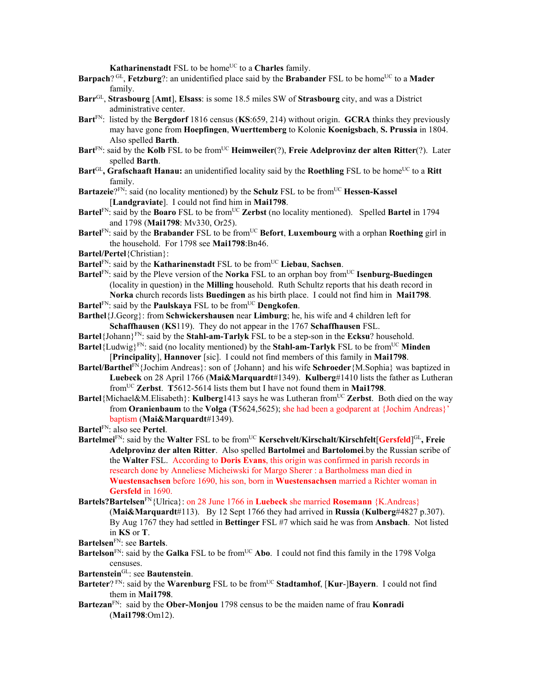**Katharinenstadt** FSL to be home<sup>UC</sup> to a **Charles** family.

- **Barpach**? GL, **Fetzburg**?: an unidentified place said by the **Brabander** FSL to be home<sup>UC</sup> to a **Mader** family.
- **Barr**GL, **Strasbourg** [**Amt**], **Elsass**: is some 18.5 miles SW of **Strasbourg** city, and was a District administrative center.
- **Bart**FN: listed by the **Bergdorf** 1816 census (**KS**:659, 214) without origin. **GCRA** thinks they previously may have gone from **Hoepfingen**, **Wuerttemberg** to Kolonie **Koenigsbach**, **S. Prussia** in 1804. Also spelled **Barth**.
- **Bart**<sup>FN</sup>: said by the **Kolb** FSL to be from<sup>UC</sup> **Heimweiler**(?), **Freie Adelprovinz der alten Ritter**(?). Later spelled **Barth**.
- **Bart**<sup>GL</sup>, Grafschaaft Hanau: an unidentified locality said by the Roethling FSL to be home<sup>UC</sup> to a Ritt family.
- **Bartazeie**?<sup>FN</sup>: said (no locality mentioned) by the **Schulz** FSL to be from<sup>UC</sup> **Hessen-Kassel** [**Landgraviate**]. I could not find him in **Mai1798**.
- **Bartel**<sup>FN</sup>: said by the **Boaro** FSL to be from<sup>UC</sup> Zerbst (no locality mentioned). Spelled **Bartel** in 1794 and 1798 (**Mai1798**: Mv330, Or25).
- **Bartel**<sup>FN</sup>: said by the **Brabander** FSL to be from<sup>UC</sup> **Befort**, **Luxembourg** with a orphan **Roething** girl in the household. For 1798 see **Mai1798**:Bn46.
- **Bartel/Pertel**{Christian}:
- **Bartel**FN: said by the **Katharinenstadt** FSL to be fromUC **Liebau**, **Sachsen**.
- **Bartel**<sup>FN</sup>: said by the Pleve version of the **Norka** FSL to an orphan boy from<sup>UC</sup> **Isenburg-Buedingen** (locality in question) in the **Milling** household. Ruth Schultz reports that his death record in **Norka** church records lists **Buedingen** as his birth place. I could not find him in **Mai1798**.
- **Bartel**<sup>FN</sup>: said by the **Paulskaya** FSL to be from<sup>UC</sup> **Dengkofen**.
- **Barthel**{J.Georg}: from **Schwickershausen** near **Limburg**; he, his wife and 4 children left for **Schaffhausen** (**KS**119). They do not appear in the 1767 **Schaffhausen** FSL.
- **Bartel**{Johann}FN: said by the **Stahl-am-Tarlyk** FSL to be a step-son in the **Ecksu**? household.
- **Bartel**{Ludwig}<sup>FN</sup>: said (no locality mentioned) by the **Stahl-am-Tarlyk** FSL to be from<sup>UC</sup> **Minden** [**Principality**], **Hannover** [sic]. I could not find members of this family in **Mai1798**.
- **Bartel/Barthel**FN{Jochim Andreas}: son of {Johann} and his wife **Schroeder**{M.Sophia} was baptized in **Luebeck** on 28 April 1766 (**Mai&Marquardt**#1349). **Kulberg**#1410 lists the father as Lutheran fromUC **Zerbst**. **T**5612-5614 lists them but I have not found them in **Mai1798**.
- **Bartel**{Michael&M.Elisabeth}: **Kulberg**1413 says he was Lutheran fromUC **Zerbst**. Both died on the way from **Oranienbaum** to the **Volga** (**T**5624,5625); she had been a godparent at {Jochim Andreas}' baptism (**Mai&Marquardt**#1349).
- **Bartel**FN: also see **Pertel**.
- **Bartelmei**FN: said by the **Walter** FSL to be fromUC **Kerschvelt/Kirschalt/Kirschfelt**[**Gersfeld**] GL**, Freie Adelprovinz der alten Ritter**. Also spelled **Bartolmei** and **Bartolomei**.by the Russian scribe of the **Walter** FSL. According to **Doris Evans**, this origin was confirmed in parish records in research done by Anneliese Micheiwski for Margo Sherer : a Bartholmess man died in **Wuestensachsen** before 1690, his son, born in **Wuestensachsen** married a Richter woman in **Gersfeld** in 1690.
- **Bartels?Bartelsen**FN{Ulrica}: on 28 June 1766 in **Luebeck** she married **Rosemann** {K.Andreas} (**Mai&Marquardt**#113). By 12 Sept 1766 they had arrived in **Russia** (**Kulberg**#4827 p.307). By Aug 1767 they had settled in **Bettinger** FSL #7 which said he was from **Ansbach**. Not listed in **KS** or **T**.
- **Bartelsen**FN: see **Bartels**.
- **Bartelson**<sup>FN</sup>: said by the **Galka** FSL to be from<sup>UC</sup> **Abo**. I could not find this family in the 1798 Volga censuses.
- **Bartenstein**GL: see **Bautenstein**.
- Barteter? FN: said by the Warenburg FSL to be from<sup>UC</sup> Stadtamhof, [Kur-]Bayern. I could not find them in **Mai1798**.
- **Bartezan**FN: said by the **Ober-Monjou** 1798 census to be the maiden name of frau **Konradi** (**Mai1798**:Om12).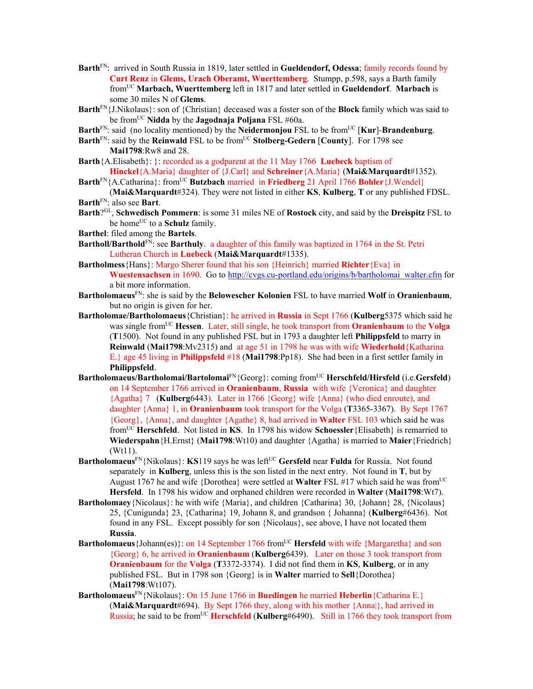- **Barth**FN: arrived in South Russia in 1819, later settled in **Gueldendorf, Odessa**; family records found by **Curt Renz** in **Glems, Urach Oberamt, Wuerttemberg**. Stumpp, p.598, says a Barth family fromUC **Marbach, Wuerttemberg** left in 1817 and later settled in **Gueldendorf**. **Marbach** is some 30 miles N of **Glems**.
- **Barth**FN{J.Nikolaus}: son of {Christian} deceased was a foster son of the **Block** family which was said to be fromUC **Nidda** by the **Jagodnaja Poljana** FSL #60a.
- **Barth**<sup>FN</sup>: said (no locality mentioned) by the **Neidermonjou** FSL to be from<sup>UC</sup> [**Kur**]-**Brandenburg**.
- **Barth**<sup>FN</sup>: said by the **Reinwald** FSL to be from<sup>UC</sup> **Stolberg-Gedern** [County]. For 1798 see **Mai1798**:Rw8 and 28.
- **Barth**{A.Elisabeth}: }: recorded as a godparent at the 11 May 1766 **Luebeck** baptism of **Hinckel**{A.Maria} daughter of {J.Carl} and **Schreiner**{A.Maria} (**Mai&Marquardt**#1352).
- **Barth**<sup>FN</sup>{A.Catharina}: from<sup>UC</sup> **Butzbach** married in **Friedberg** 21 April 1766 **Bohler**{J.Wendel}
- (**Mai&Marquardt**#324). They were not listed in either **KS**, **Kulberg**, **T** or any published FDSL. **Barth**FN: also see **Bart**.
- **Barth**?GL, **Schwedisch Pommern**: is some 31 miles NE of **Rostock** city, and said by the **Dreispitz** FSL to be home<sup>UC</sup> to a **Schulz** family.
- **Barthel**: filed among the **Bartels**.
- **Bartholl/Barthold**FN: see **Barthuly**. a daughter of this family was baptized in 1764 in the St. Petri Lutheran Church in **Luebeck** (**Mai&Marquardt**#1335).
- **Bartholmess**{Hans}: Margo Sherer found that his son {Heinrich} married **Richter**{Eva} in **Wuestensachsen** in 1690. Go to http://cvgs.cu-portland.edu/origins/b/bartholomai\_walter.cfm for a bit more information.
- **Bartholomaeus**FN: she is said by the **Belowescher Kolonien** FSL to have married **Wolf** in **Oranienbaum**, but no origin is given for her.
- **Bartholomae/Bartholomaeus**{Christian}: he arrived in **Russia** in Sept 1766 (**Kulberg**5375 which said he was single fromUC **Hessen**. Later, still single, he took transport from **Oranienbaum** to the **Volga** (**T**1500). Not found in any published FSL but in 1793 a daughter left **Philippsfeld** to marry in **Reinwald** (**Mai1798**:Mv2315) and at age 51 in 1798 he was with wife **Wiederhold**{Katharina E.} age 45 living in **Philippsfeld** #18 (**Mai1798**:Pp18). She had been in a first settler family in **Philippsfeld**.
- **Bartholomaeus/Bartholomai/Bartolomai**<sup>FN</sup>{Georg}: coming from<sup>UC</sup> **Herschfeld/Hirsfeld** (i.e.Gersfeld) on 14 September 1766 arrived in **Oranienbaum**, **Russia** with wife {Veronica} and daughter {Agatha} 7 (**Kulberg**6443). Later in 1766 {Georg} wife {Anna} (who died enroute), and daughter {Anna} 1, in **Oranienbaum** took transport for the Volga (**T**3365-3367). By Sept 1767 {Georg}, {Anna}, and daughter {Agathe} 8, had arrived in **Walter** FSL 103 which said he was fromUC **Herschfeld**. Not listed in **KS**. In 1798 his widow **Schoessler**{Elisabeth} is remarried to **Wiederspahn**{H.Ernst} (**Mai1798**:Wt10) and daughter {Agatha} is married to **Maier**{Friedrich} (Wt11).
- **Bartholomaeus**<sup>FN</sup>{Nikolaus}: **KS**119 says he was left<sup>UC</sup> Gersfeld near **Fulda** for Russia. Not found separately in **Kulberg**, unless this is the son listed in the next entry. Not found in **T**, but by August 1767 he and wife {Dorothea} were settled at **Walter** FSL #17 which said he was from<sup>UC</sup> **Hersfeld**. In 1798 his widow and orphaned children were recorded in **Walter** (**Mai1798**:Wt7).
- **Bartholomaey**{Nicolaus}: he with wife {Maria}, and children {Catharina} 30, {Johann} 28, {Nicolaus} 25, {Cunigunda} 23, {Catharina} 19, Johann 8, and grandson { Johanna} (**Kulberg**#6436). Not found in any FSL. Except possibly for son {Nicolaus}, see above, I have not located them **Russia**.
- **Bartholomaeus** {Johann(es)}: on 14 September 1766 from<sup>UC</sup> **Hersfeld** with wife {Margaretha} and son {Georg} 6, he arrived in **Oranienbaum** (**Kulberg**6439). Later on those 3 took transport from **Oranienbaum** for the **Volga** (**T**3372-3374). I did not find them in **KS**, **Kulberg**, or in any published FSL. But in 1798 son {Georg} is in **Walter** married to **Sell**{Dorothea} (**Mai1798**:Wt107).
- **Bartholomaeus**FN{Nikolaus}: On 15 June 1766 in **Buedingen** he married **Heberlin**{Catharina E.} (**Mai&Marquardt**#694). By Sept 1766 they, along with his mother {Anna|}, had arrived in Russia; he said to be from<sup>UC</sup> **Herschfeld** (**Kulberg**#6490). Still in 1766 they took transport from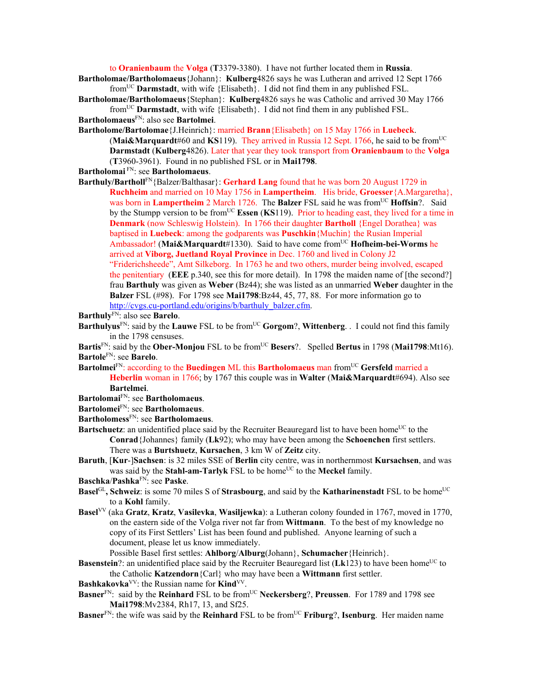to **Oranienbaum** the **Volga** (**T**3379-3380). I have not further located them in **Russia**.

- **Bartholomae/Bartholomaeus**{Johann}: **Kulberg**4826 says he was Lutheran and arrived 12 Sept 1766 fromUC **Darmstadt**, with wife {Elisabeth}. I did not find them in any published FSL.
- **Bartholomae/Bartholomaeus**{Stephan}: **Kulberg**4826 says he was Catholic and arrived 30 May 1766 fromUC **Darmstadt**, with wife {Elisabeth}. I did not find them in any published FSL.
- **Bartholomaeus**FN: also see **Bartolmei**.
- **Bartholome/Bartolomae**{J.Heinrich}: married **Brann**{Elisabeth} on 15 May 1766 in **Luebeck**. (**Mai&Marquardt**#60 and **KS**119). They arrived in Russia 12 Sept. 1766, he said to be fromUC **Darmstadt** (**Kulberg**4826). Later that year they took transport from **Oranienbaum** to the **Volga** (**T**3960-3961). Found in no published FSL or in **Mai1798**.
- **Bartholomai** FN: see **Bartholomaeus**.

**Barthuly/Bartholl**FN{Balzer/Balthasar}: **Gerhard Lang** found that he was born 20 August 1729 in **Ruchheim** and married on 10 May 1756 in **Lampertheim**. His bride, **Groesser**{A.Margaretha}, was born in Lampertheim 2 March 1726. The Balzer FSL said he was from<sup>UC</sup> Hoffsin?. Said by the Stumpp version to be fromUC **Essen** (**KS**119). Prior to heading east, they lived for a time in **Denmark** (now Schleswig Holstein). In 1766 their daughter **Bartholl** {Engel Dorathea} was baptised in **Luebeck**: among the godparents was **Puschkin**{Muchin} the Rusian Imperial Ambassador! (**Mai&Marquardt**#1330). Said to have come fromUC **Hofheim-bei-Worms** he arrived at **Viborg, Juetland Royal Province** in Dec. 1760 and lived in Colony J2 "Friderichsheede", Amt Silkeborg. In 1763 he and two others, murder being involved, escaped the penitentiary (**EEE** p.340, see this for more detail). In 1798 the maiden name of [the second?] frau **Barthuly** was given as **Weber** (Bz44); she was listed as an unmarried **Weber** daughter in the **Balzer** FSL (#98). For 1798 see **Mai1798**:Bz44, 45, 77, 88. For more information go to http://cvgs.cu-portland.edu/origins/b/barthuly\_balzer.cfm.

- **Barthuly**FN: also see **Barelo**.
- **Barthulyus**<sup>FN</sup>: said by the **Lauwe** FSL to be from<sup>UC</sup> **Gorgom**?, **Wittenberg**. . I could not find this family in the 1798 censuses.
- **Bartis**<sup>FN</sup>: said by the **Ober-Monjou** FSL to be from<sup>UC</sup> **Besers**?. Spelled **Bertus** in 1798 (Mai1798:Mt16). **Bartole**FN: see **Barelo**.
- **Bartolmei**FN: according to the **Buedingen** ML this **Bartholomaeus** man fromUC **Gersfeld** married a **Heberlin** woman in 1766; by 1767 this couple was in **Walter** (**Mai&Marquardt**#694). Also see **Bartelmei**.
- **Bartolomai**FN: see **Bartholomaeus**.
- **Bartolomei**FN: see **Bartholomaeus**.
- **Bartholomess**FN: see **Bartholomaeus**.
- **Bartschuetz**: an unidentified place said by the Recruiter Beauregard list to have been home<sup>UC</sup> to the **Conrad**{Johannes} family (**Lk**92); who may have been among the **Schoenchen** first settlers. There was a **Burtshuetz**, **Kursachen**, 3 km W of **Zeitz** city.
- **Baruth**, [**Kur**-]**Sachsen**: is 32 miles SSE of **Berlin** city centre, was in northernmost **Kursachsen**, and was was said by the **Stahl-am-Tarlyk** FSL to be home<sup>UC</sup> to the **Meckel** family.
- **Baschka**/**Pashka**FN: see **Paske**.
- **Basel**<sup>GL</sup>, Schweiz: is some 70 miles S of Strasbourg, and said by the Katharinenstadt FSL to be home<sup>UC</sup> to a **Kohl** family.
- **Basel**VV (aka **Gratz**, **Kratz**, **Vasilevka**, **Wasiljewka**): a Lutheran colony founded in 1767, moved in 1770, on the eastern side of the Volga river not far from **Wittmann**. To the best of my knowledge no copy of its First Settlers' List has been found and published. Anyone learning of such a document, please let us know immediately.

Possible Basel first settles: **Ahlborg**/**Alburg**(Johann}, **Schumacher**{Heinrich}.

- **Basenstein**?: an unidentified place said by the Recruiter Beauregard list (Lk123) to have been home<sup>UC</sup> to the Catholic **Katzendorn**{Carl} who may have been a **Wittmann** first settler.
- Bashkakovka<sup>VV</sup>: the Russian name for **Kind**<sup>VV</sup>.
- **Basner**<sup>FN</sup>: said by the **Reinhard** FSL to be from<sup>UC</sup> **Neckersberg**?, **Preussen**. For 1789 and 1798 see **Mai1798**:Mv2384, Rh17, 13, and Sf25.
- **Basner**<sup>FN</sup>: the wife was said by the **Reinhard** FSL to be from<sup>UC</sup> **Friburg**?, **Isenburg**. Her maiden name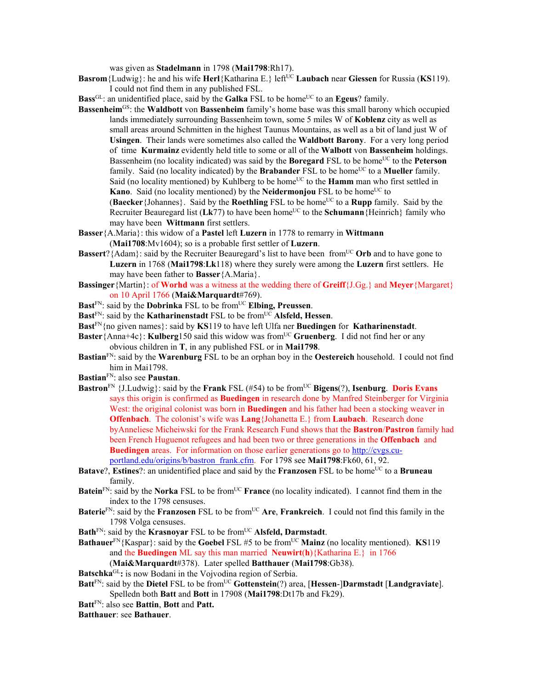was given as **Stadelmann** in 1798 (**Mai1798**:Rh17).

**Basrom** {Ludwig}: he and his wife **Herl** {Katharina E.} left<sup>UC</sup> **Laubach** near **Giessen** for Russia (**KS**119). I could not find them in any published FSL.

**Bass**<sup>GL</sup>: an unidentified place, said by the **Galka** FSL to be home<sup>UC</sup> to an **Egeus**? family.

**Bassenheim**GS: the **Waldbott** von **Bassenheim** family's home base was this small barony which occupied lands immediately surrounding Bassenheim town, some 5 miles W of **Koblenz** city as well as small areas around Schmitten in the highest Taunus Mountains, as well as a bit of land just W of **Usingen**. Their lands were sometimes also called the **Waldbott Barony**. For a very long period of time **Kurmainz** evidently held title to some or all of the **Walbott** von **Bassenheim** holdings. Bassenheim (no locality indicated) was said by the **Boregard** FSL to be home<sup>UC</sup> to the **Peterson** family. Said (no locality indicated) by the **Brabander** FSL to be home<sup>UC</sup> to a **Mueller** family. Said (no locality mentioned) by Kuhlberg to be home<sup>UC</sup> to the **Hamm** man who first settled in **Kano**. Said (no locality mentioned) by the **Neidermonjou** FSL to be home<sup>UC</sup> to

**(Baecker** {Johannes}. Said by the **Roethling** FSL to be home<sup>UC</sup> to a **Rupp** family. Said by the Recruiter Beauregard list (Lk77) to have been home<sup>UC</sup> to the **Schumann** {Heinrich} family who may have been **Wittmann** first settlers.

- **Basser**{A.Maria}: this widow of a **Pastel** left **Luzern** in 1778 to remarry in **Wittmann** (**Mai1708**:Mv1604); so is a probable first settler of **Luzern**.
- **Bassert**?{Adam}: said by the Recruiter Beauregard's list to have been from<sup>UC</sup> Orb and to have gone to **Luzern** in 1768 (**Mai1798**:**Lk**118) where they surely were among the **Luzern** first settlers. He may have been father to **Basser**{A.Maria}.
- **Bassinger**{Martin}: of **Worhd** was a witness at the wedding there of **Greiff**{J.Gg.} and **Meyer**{Margaret} on 10 April 1766 (**Mai&Marquardt**#769).
- Bast<sup>FN</sup>: said by the **Dobrinka** FSL to be from<sup>UC</sup> **Elbing, Preussen**.
- **Bast**<sup>FN</sup>: said by the **Katharinenstadt** FSL to be from<sup>UC</sup> **Alsfeld**, **Hessen**.
- **Bast**FN{no given names}: said by **KS**119 to have left Ulfa ner **Buedingen** for **Katharinenstadt**.
- **Baster**{Anna+4c}: **Kulberg**150 said this widow was fromUC **Gruenberg**. I did not find her or any obvious children in **T**, in any published FSL or in **Mai1798**.
- **Bastian**FN: said by the **Warenburg** FSL to be an orphan boy in the **Oestereich** household. I could not find him in Mai1798.
- **Bastian**FN: also see **Paustan**.
- **Bastron**<sup>FN</sup> {J.Ludwig}: said by the **Frank** FSL (#54) to be from<sup>UC</sup> **Bigens**(?), **Isenburg**. **Doris Evans** says this origin is confirmed as **Buedingen** in research done by Manfred Steinberger for Virginia West: the original colonist was born in **Buedingen** and his father had been a stocking weaver in **Offenbach**. The colonist's wife was **Lang**{Johanetta E.} from **Laubach**. Research done byAnneliese Micheiwski for the Frank Research Fund shows that the **Bastron**/**Pastron** family had been French Huguenot refugees and had been two or three generations in the **Offenbach** and **Buedingen** areas. For information on those earlier generations go to http://cvgs.cuportland.edu/origins/b/bastron\_frank.cfm. For 1798 see **Mai1798**:Fk60, 61, 92.
- **Batave?, Estines?:** an unidentified place and said by the **Franzosen** FSL to be home<sup>UC</sup> to a **Bruneau** family.
- **Batein**<sup>FN</sup>: said by the **Norka** FSL to be from<sup>UC</sup> **France** (no locality indicated). I cannot find them in the index to the 1798 censuses.
- **Baterie**<sup>FN</sup>: said by the **Franzosen** FSL to be from<sup>UC</sup> **Are**, **Frankreich**. I could not find this family in the 1798 Volga censuses.
- **Bath**<sup>FN</sup>: said by the **Krasnoyar** FSL to be from<sup>UC</sup> **Alsfeld, Darmstadt**.
- **Bathauer**FN{Kaspar}: said by the **Goebel** FSL #5 to be fromUC **Mainz** (no locality mentioned). **KS**119 and the **Buedingen** ML say this man married **Neuwirt**(**h**){Katharina E.} in 1766 (**Mai&Marquardt**#378). Later spelled **Batthauer** (**Mai1798**:Gb38).

Batschka<sup>GL</sup>: is now Bodani in the Vojvodina region of Serbia.

**Batt<sup>FN</sup>: said by the Dietel FSL to be from<sup>UC</sup> Gottenstein(?) area, [Hessen-]Darmstadt [Landgraviate].** Spelledn both **Batt** and **Bott** in 17908 (**Mai1798**:Dt17b and Fk29).

**Batt**FN: also see **Battin**, **Bott** and **Patt.** 

**Batthauer**: see **Bathauer**.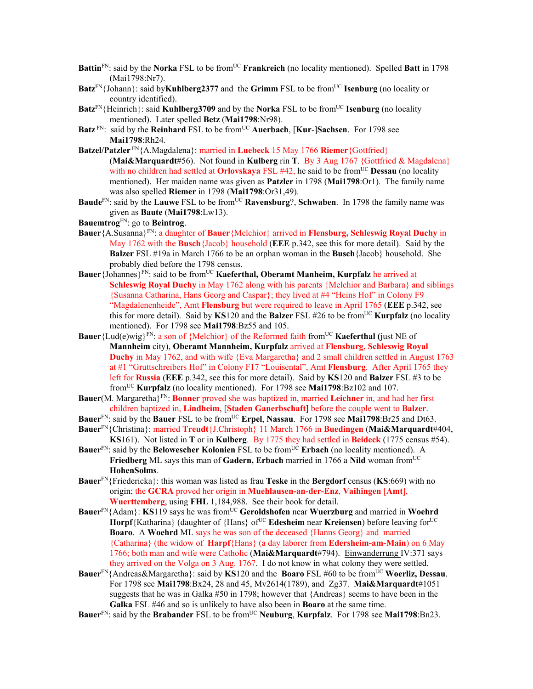- **Battin**<sup>FN</sup>: said by the **Norka** FSL to be from<sup>UC</sup> **Frankreich** (no locality mentioned). Spelled **Batt** in 1798 (Mai1798:Nr7).
- **Batz**<sup>FN</sup>{Johann}: said by**Kuhlberg2377** and the **Grimm** FSL to be from<sup>UC</sup> **Isenburg** (no locality or country identified).
- **Batz**<sup>FN</sup>{Heinrich}: said **Kuhlberg3709** and by the **Norka** FSL to be from<sup>UC</sup> **Isenburg** (no locality mentioned). Later spelled **Betz** (**Mai1798**:Nr98).
- Batz<sup>FN</sup>: said by the **Reinhard** FSL to be from<sup>UC</sup> Auerbach, [Kur-]Sachsen. For 1798 see **Mai1798**:Rh24.
- **Batzel/Patzler** FN{A.Magdalena}: married in **Luebeck** 15 May 1766 **Riemer**{Gottfried} (**Mai&Marquardt**#56). Not found in **Kulberg** rin **T**. By 3 Aug 1767 {Gottfried & Magdalena} with no children had settled at **Orlovskaya** FSL #42, he said to be from<sup>UC</sup> **Dessau** (no locality mentioned).Her maiden name was given as **Patzler** in 1798 (**Mai1798**:Or1). The family name was also spelled **Riemer** in 1798 (**Mai1798**:Or31,49).
- **Baude**FN: said by the **Lauwe** FSL to be from<sup>UC</sup> **Ravensburg**?, **Schwaben**. In 1798 the family name was given as **Baute** (**Mai1798**:Lw13).
- **Bauemtrog**FN: go to **Beintrog**.
- **Bauer**{A.Susanna}FN: a daughter of **Bauer**{Melchior} arrived in **Flensburg, Schleswig Royal Duchy** in May 1762 with the **Busch**{Jacob} household (**EEE** p.342, see this for more detail). Said by the **Balzer** FSL #19a in March 1766 to be an orphan woman in the **Busch**{Jacob} household. She probably died before the 1798 census.
- **Bauer**{Johannes}FN: said to be fromUC **Kaeferthal, Oberamt Manheim, Kurpfalz** he arrived at **Schleswig Royal Duchy** in May 1762 along with his parents {Melchior and Barbara} and siblings {Susanna Catharina, Hans Georg and Caspar}; they lived at #4 "Heins Hof" in Colony F9 "Magdalenenheide", Amt **Flensburg** but were required to leave in April 1765 (**EEE** p.342, see this for more detail). Said by  $KS120$  and the **Balzer** FSL #26 to be from<sup>UC</sup> **Kurpfalz** (no locality mentioned). For 1798 see **Mai1798**:Bz55 and 105.
- **Bauer** {Lud(e)wig}<sup>FN</sup>: a son of {Melchior} of the Reformed faith from<sup>UC</sup> **Kaeferthal** (just NE of **Mannheim** city), **Oberamt Mannheim, Kurpfalz** arrived at **Flensburg, Schleswig Royal Duchy** in May 1762, and with wife {Eva Margaretha} and 2 small children settled in August 1763 at #1 "Gruttschreibers Hof" in Colony F17 "Louisental", Amt **Flensburg**. After April 1765 they left for **Russia** (**EEE** p.342, see this for more detail). Said by **KS**120 and **Balzer** FSL #3 to be fromUC **Kurpfalz** (no locality mentioned). For 1798 see **Mai1798**:Bz102 and 107.
- **Bauer**(M. Margaretha}FN: **Bonner** proved she was baptized in, married **Leichner** in, and had her first children baptized in, **Lindheim**, [**Staden Ganerbschaft**] before the couple went to **Balzer**.
- **Bauer**<sup>FN</sup>: said by the **Bauer** FSL to be from<sup>UC</sup> **Erpel**, **Nassau**. For 1798 see **Mai1798**:Br25 and Dt63.
- **Bauer**FN{Christina}: married **Treudt**{J.Christoph} 11 March 1766 in **Buedingen** (**Mai&Marquardt**#404, **KS**161). Not listed in **T** or in **Kulberg**. By 1775 they had settled in **Beideck** (1775 census #54).
- **Bauer**<sup>FN</sup>: said by the **Belowescher Kolonien** FSL to be from<sup>UC</sup> **Erbach** (no locality mentioned). A **Friedberg** ML says this man of **Gadern, Erbach** married in 1766 a Nild woman from<sup>UC</sup> **HohenSolms**.
- **Bauer**FN{Friedericka}: this woman was listed as frau **Teske** in the **Bergdorf** census (**KS**:669) with no origin; the **GCRA** proved her origin in **Muehlausen-an-der-Enz**, **Vaihingen** [**Amt**], **Wuerttemberg**, using **FHL** 1,184,988. See their book for detail.
- **Bauer**FN{Adam}: **KS**119 says he was fromUC **Geroldshofen** near **Wuerzburg** and married in **Woehrd Horpf**{Katharina} (daughter of {Hans} of<sup>UC</sup> **Edesheim** near **Kreiensen**) before leaving for<sup>UC</sup> **Boaro**. A **Woehrd** ML says he was son of the deceased {Hanns Georg} and married {Catharina} (the widow of **Harpf**{Hans} (a day laborer from **Edersheim-am-Main**) on 6 May 1766; both man and wife were Catholic (**Mai&Marquardt**#794). Einwanderrung IV:371 says they arrived on the Volga on 3 Aug. 1767. I do not know in what colony they were settled.
- **Bauer**FN{Andreas&Margaretha}: said by **KS**120 and the **Boaro** FSL #60 to be fromUC **Woerliz, Dessau**. For 1798 see **Mai1798**:Bx24, 28 and 45, Mv2614(1789), and Zg37. **Mai&Marquardt**#1051 suggests that he was in Galka #50 in 1798; however that {Andreas} seems to have been in the **Galka** FSL #46 and so is unlikely to have also been in **Boaro** at the same time.
- **Bauer**<sup>FN</sup>: said by the **Brabander** FSL to be from<sup>UC</sup> **Neuburg**, **Kurpfalz**. For 1798 see **Mai1798**:Bn23.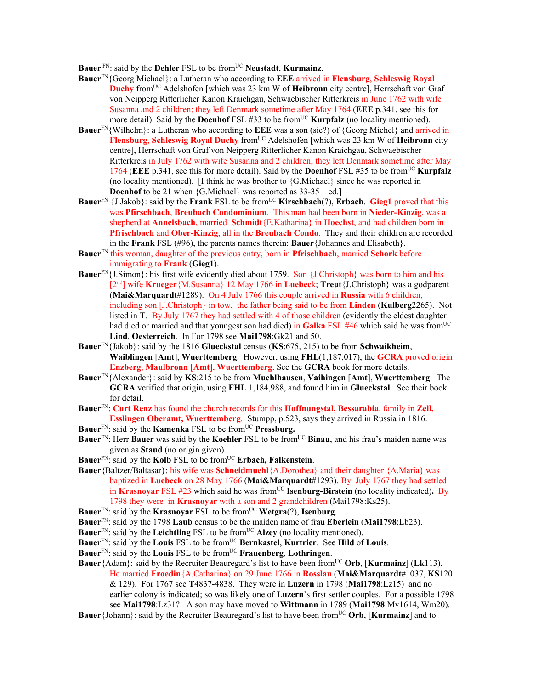**Bauer** FN: said by the **Dehler** FSL to be from<sup>UC</sup> **Neustadt**, **Kurmainz**.

- **Bauer**FN{Georg Michael}: a Lutheran who according to **EEE** arrived in **Flensburg**, **Schleswig Royal Duchy** fromUC Adelshofen [which was 23 km W of **Heibronn** city centre], Herrschaft von Graf von Neipperg Ritterlicher Kanon Kraichgau, Schwaebischer Ritterkreis in June 1762 with wife Susanna and 2 children; they left Denmark sometime after May 1764 (**EEE** p.341, see this for more detail). Said by the **Doenhof** FSL #33 to be from<sup>UC</sup> **Kurpfalz** (no locality mentioned).
- **Bauer**FN{Wilhelm}: a Lutheran who according to **EEE** was a son (sic?) of {Georg Michel} and arrived in **Flensburg, Schleswig Royal Duchy** from<sup>UC</sup> Adelshofen [which was 23 km W of **Heibronn** city centre], Herrschaft von Graf von Neipperg Ritterlicher Kanon Kraichgau, Schwaebischer Ritterkreis in July 1762 with wife Susanna and 2 children; they left Denmark sometime after May 1764 (**EEE** p.341, see this for more detail). Said by the **Doenhof** FSL #35 to be fromUC **Kurpfalz** (no locality mentioned). [I think he was brother to  ${G.Michael}$  since he was reported in **Doenhof** to be 21 when {G.Michael} was reported as  $33-35 -$  ed.]
- **Bauer**<sup>FN</sup> {J.Jakob}: said by the **Frank** FSL to be from<sup>UC</sup> **Kirschbach**(?), **Erbach**. **Gieg1** proved that this was **Pfirschbach**, **Breubach Condominium**. This man had been born in **Nieder-Kinzig**, was a shepherd at **Annelsbach**, married **Schmidt**{E.Katharina} in **Hoechst**, and had children born in **Pfrischbach** and **Ober-Kinzig**, all in the **Breubach Condo**. They and their children are recorded in the **Frank** FSL (#96), the parents names therein: **Bauer**{Johannes and Elisabeth}.
- **Bauer**FN this woman, daughter of the previous entry, born in **Pfrischbach**, married **Schork** before immigrating to **Frank** (**Gieg1**).
- **Bauer**FN{J.Simon}: his first wife evidently died about 1759. Son {J.Christoph} was born to him and his [2nd] wife **Krueger**{M.Susanna} 12 May 1766 in **Luebec**k; **Treut**{J.Christoph} was a godparent (**Mai&Marquardt**#1289). On 4 July 1766 this couple arrived in **Russia** with 6 children, including son [J.Christoph} in tow, the father being said to be from **Linden** (**Kulberg**2265). Not listed in **T**. By July 1767 they had settled with 4 of those children (evidently the eldest daughter had died or married and that youngest son had died) in **Galka** FSL #46 which said he was from<sup>UC</sup> **Lind**, **Oesterreich**. In For 1798 see **Mai1798**:Gk21 and 50.
- **Bauer**FN{Jakob}: said by the 1816 **Glueckstal** census (**KS**:675, 215) to be from **Schwaikheim**, **Waiblingen** [**Amt**], **Wuerttemberg**. However, using **FHL**(1,187,017), the **GCRA** proved origin **Enzberg**, **Maulbronn** [**Amt**], **Wuerttemberg**. See the **GCRA** book for more details.
- **Bauer**FN{Alexander}: said by **KS**:215 to be from **Muehlhausen**, **Vaihingen** [**Amt**], **Wuerttemberg**. The **GCRA** verified that origin, using **FHL** 1,184,988, and found him in **Glueckstal**. See their book for detail.
- **Bauer**FN: **Curt Renz** has found the church records for this **Hoffnungstal, Bessarabia**, family in **Zell, Esslingen Oberamt, Wuerttemberg**. Stumpp, p.523, says they arrived in Russia in 1816.
- **Bauer**FN: said by the **Kamenka** FSL to be fromUC **Pressburg.**
- **Bauer**<sup>FN</sup>: Herr **Bauer** was said by the **Koehler** FSL to be from<sup>UC</sup> **Binau**, and his frau's maiden name was given as **Staud** (no origin given).
- **Bauer**FN: said by the **Kolb** FSL to be fromUC **Erbach, Falkenstein**.
- **Bauer**{Baltzer/Baltasar}: his wife was **Schneidmuehl**{A.Dorothea} and their daughter {A.Maria} was baptized in **Luebeck** on 28 May 1766 (**Mai&Marquardt**#1293). By July 1767 they had settled in **Krasnovar** FSL #23 which said he was from<sup>UC</sup> **Isenburg-Birstein** (no locality indicated). By 1798 they were in **Krasnoyar** with a son and 2 grandchildren (Mai1798:Ks25).
- **Bauer**FN: said by the **Krasnoyar** FSL to be fromUC **Wetgra**(?), **Isenburg**.
- **Bauer**FN: said by the 1798 **Laub** census to be the maiden name of frau **Eberlein** (**Mai1798**:Lb23).
- **Bauer**<sup>FN</sup>: said by the **Leichtling** FSL to be from<sup>UC</sup> **Alzey** (no locality mentioned).
- **Bauer**FN: said by the **Louis** FSL to be fromUC **Bernkastel**, **Kurtrier**. See **Hild** of **Louis**.
- **Bauer**FN: said by the **Louis** FSL to be fromUC **Frauenberg**, **Lothringen**.
- **Bauer**{Adam}: said by the Recruiter Beauregard's list to have been from<sup>UC</sup> Orb, [**Kurmainz**] (Lk113). He married **Froedin**{A.Catharina} on 29 June 1766 in **Rosslau** (**Mai&Marquardt**#1037, **KS**120 & 129). For 1767 see **T**4837-4838. They were in **Luzern** in 1798 (**Mai1798**:Lz15) and no earlier colony is indicated; so was likely one of **Luzern**'s first settler couples. For a possible 1798 see **Mai1798**:Lz31?. A son may have moved to **Wittmann** in 1789 (**Mai1798**:Mv1614, Wm20).
- **Bauer**{Johann}: said by the Recruiter Beauregard's list to have been fromUC **Orb**, [**Kurmainz**] and to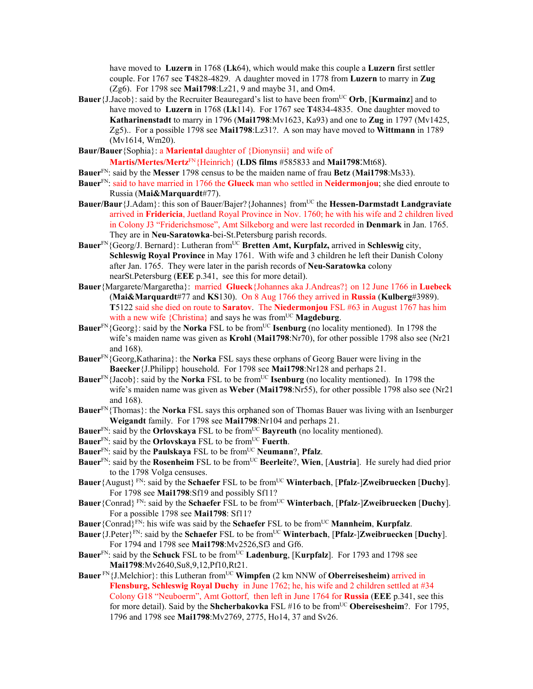have moved to **Luzern** in 1768 (**Lk**64), which would make this couple a **Luzern** first settler couple. For 1767 see **T**4828-4829. A daughter moved in 1778 from **Luzern** to marry in **Zug** (Zg6). For 1798 see **Mai1798**:Lz21, 9 and maybe 31, and Om4.

- **Bauer**{J.Jacob}: said by the Recruiter Beauregard's list to have been fromUC **Orb**, [**Kurmainz**] and to have moved to **Luzern** in 1768 (**Lk**114). For 1767 see **T**4834-4835. One daughter moved to **Katharinenstadt** to marry in 1796 (**Mai1798**:Mv1623, Ka93) and one to **Zug** in 1797 (Mv1425, Zg5).. For a possible 1798 see **Mai1798**:Lz31?. A son may have moved to **Wittmann** in 1789 (Mv1614, Wm20).
- **Baur/Bauer**{Sophia}: a **Mariental** daughter of {Dionynsii} and wife of

**Martis/Mertes/Mertz**FN{Heinrich} (**LDS films** #585833 and **Mai1798**:Mt68).

- **Bauer**FN: said by the **Messer** 1798 census to be the maiden name of frau **Betz** (**Mai1798**:Ms33).
- **Bauer**FN: said to have married in 1766 the **Glueck** man who settled in **Neidermonjou**; she died enroute to Russia (**Mai&Marquardt**#77).
- **Bauer/Baur**{J.Adam}: this son of Bauer/Bajer?{Johannes} from<sup>UC</sup> the **Hessen-Darmstadt Landgraviate** arrived in **Fridericia**, Juetland Royal Province in Nov. 1760; he with his wife and 2 children lived in Colony J3 "Friderichsmose", Amt Silkeborg and were last recorded in **Denmark** in Jan. 1765. They are in **Neu-Saratowka**-bei-St.Petersburg parish records.
- **Bauer**FN{Georg/J. Bernard}: Lutheran fromUC **Bretten Amt, Kurpfalz,** arrived in **Schleswig** city, **Schleswig Royal Province** in May 1761. With wife and 3 children he left their Danish Colony after Jan. 1765. They were later in the parish records of **Neu-Saratowka** colony nearSt.Petersburg (**EEE** p.341, see this for more detail).
- **Bauer**{Margarete/Margaretha}: married **Glueck**{Johannes aka J.Andreas?} on 12 June 1766 in **Luebeck** (**Mai&Marquardt**#77 and **KS**130). On 8 Aug 1766 they arrived in **Russia** (**Kulberg**#3989). **T**5122 said she died on route to **Saratov**. The **Niedermonjou** FSL #63 in August 1767 has him with a new wife  ${Christina}$  and says he was from<sup>UC</sup> **Magdeburg**.
- **Bauer**<sup>FN</sup>{Georg}: said by the **Norka** FSL to be from<sup>UC</sup> **Isenburg** (no locality mentioned). In 1798 the wife's maiden name was given as **Krohl** (**Mai1798**:Nr70), for other possible 1798 also see (Nr21 and 168).
- **Bauer**FN{Georg,Katharina}: the **Norka** FSL says these orphans of Georg Bauer were living in the **Baecker**{J.Philipp} household. For 1798 see **Mai1798**:Nr128 and perhaps 21.
- **Bauer**FN{Jacob}: said by the **Norka** FSL to be from<sup>UC</sup> **Isenburg** (no locality mentioned). In 1798 the wife's maiden name was given as **Weber** (**Mai1798**:Nr55), for other possible 1798 also see (Nr21 and 168).
- **Bauer**FN{Thomas}: the **Norka** FSL says this orphaned son of Thomas Bauer was living with an Isenburger **Weigandt** family. For 1798 see **Mai1798**:Nr104 and perhaps 21.
- **Bauer**<sup>FN</sup>: said by the **Orlovskaya** FSL to be from<sup>UC</sup> **Bayreuth** (no locality mentioned).
- **Bauer**FN: said by the **Orlovskaya** FSL to be fromUC **Fuerth**.
- Bauer<sup>FN</sup>: said by the **Paulskaya** FSL to be from<sup>UC</sup> **Neumann**?, **Pfalz**.
- **Bauer**FN: said by the **Rosenheim** FSL to be from<sup>UC</sup> **Beerleite**?, **Wien**, [Austria]. He surely had died prior to the 1798 Volga censuses.
- **Bauer**{August}<sup>FN</sup>: said by the **Schaefer** FSL to be from<sup>UC</sup> **Winterbach**, [Pfalz-]Zweibruecken [Duchy]. For 1798 see **Mai1798**:Sf19 and possibly Sf11?
- **Bauer**{Conrad}<sup>FN</sup>: said by the **Schaefer** FSL to be from<sup>UC</sup> **Winterbach**, [Pfalz-]Zweibruecken [Duchy]. For a possible 1798 see **Mai1798**: Sf11?
- **Bauer**{Conrad}<sup>FN</sup>: his wife was said by the **Schaefer** FSL to be from<sup>UC</sup> **Mannheim**, **Kurpfalz**.
- **Bauer**{J.Peter}<sup>FN</sup>: said by the **Schaefer** FSL to be from<sup>UC</sup> **Winterbach**, [Pfalz-]Zweibruecken [Duchy]. For 1794 and 1798 see **Mai1798**:Mv2526,Sf3 and Gf6.
- **Bauer**<sup>FN</sup>: said by the **Schuck** FSL to be from<sup>UC</sup> Ladenburg, [Kurpfalz]. For 1793 and 1798 see **Mai1798**:Mv2640,Su8,9,12,Pf10,Rt21.
- **Bauer** FN{J.Melchior}: this Lutheran from<sup>UC</sup> **Wimpfen** (2 km NNW of **Oberreisesheim)** arrived in **Flensburg, Schleswig Royal Duchy** in June 1762; he, his wife and 2 children settled at #34 Colony G18 "Neuboerm", Amt Gottorf, then left in June 1764 for **Russia** (**EEE** p.341, see this for more detail). Said by the **Shcherbakovka** FSL #16 to be from<sup>UC</sup> Obereisesheim?. For 1795, 1796 and 1798 see **Mai1798**:Mv2769, 2775, Ho14, 37 and Sv26.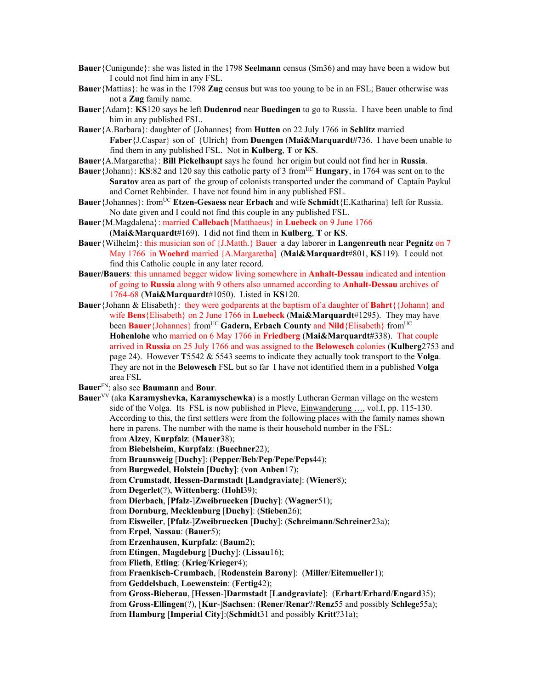- **Bauer**{Cunigunde}: she was listed in the 1798 **Seelmann** census (Sm36) and may have been a widow but I could not find him in any FSL.
- **Bauer**{Mattias}: he was in the 1798 **Zug** census but was too young to be in an FSL; Bauer otherwise was not a **Zug** family name.
- **Bauer**{Adam}: **KS**120 says he left **Dudenrod** near **Buedingen** to go to Russia. I have been unable to find him in any published FSL.
- **Bauer**{A.Barbara}: daughter of {Johannes} from **Hutten** on 22 July 1766 in **Schlitz** married **Faber**{J.Caspar} son of {Ulrich} from **Duengen** (**Mai&Marquardt**#736. I have been unable to find them in any published FSL. Not in **Kulberg**, **T** or **KS**.
- **Bauer**{A.Margaretha}: **Bill Pickelhaupt** says he found her origin but could not find her in **Russia**.
- **Bauer**{Johann}: **KS**:82 and 120 say this catholic party of 3 from<sup>UC</sup> **Hungary**, in 1764 was sent on to the **Saratov** area as part of the group of colonists transported under the command of Captain Paykul and Cornet Rehbinder. I have not found him in any published FSL.
- **Bauer**{Johannes}: from<sup>UC</sup> **Etzen-Gesaess** near **Erbach** and wife **Schmidt**{E.Katharina} left for Russia. No date given and I could not find this couple in any published FSL.
- **Bauer**{M.Magdalena}: married **Callebach**{Matthaeus} in **Luebeck** on 9 June 1766 (**Mai&Marquardt**#169). I did not find them in **Kulberg**, **T** or **KS**.
- **Bauer**{Wilhelm}: this musician son of {J.Matth.} Bauer a day laborer in **Langenreuth** near **Pegnitz** on 7 May 1766 in **Woehrd** married {A.Margaretha] (**Mai&Marquardt**#801, **KS**119). I could not find this Catholic couple in any later record.
- **Bauer/Bauers**: this unnamed begger widow living somewhere in **Anhalt-Dessau** indicated and intention of going to **Russia** along with 9 others also unnamed according to **Anhalt-Dessau** archives of 1764-68 (**Mai&Marquardt**#1050). Listed in **KS**120.
- **Bauer**{Johann & Elisabeth}: they were godparents at the baptism of a daughter of **Bahrt**{{Johann} and wife **Bens**{Elisabeth} on 2 June 1766 in **Luebeck** (**Mai&Marquardt**#1295). They may have been **Bauer** {Johannes} from<sup>UC</sup> **Gadern, Erbach County** and **Nild** {Elisabeth} from<sup>UC</sup> **Hohenlohe** who married on 6 May 1766 in **Friedberg** (**Mai&Marquardt**#338). That couple arrived in **Russia** on 25 July 1766 and was assigned to the **Belowesch** colonies (**Kulberg**2753 and page 24). However **T**5542 & 5543 seems to indicate they actually took transport to the **Volga**. They are not in the **Belowesch** FSL but so far I have not identified them in a published **Volga** area FSL
- **Bauer**FN: also see **Baumann** and **Bour**.
- **Bauer**<sup>VV</sup> (aka **Karamyshevka, Karamyschewka**) is a mostly Lutheran German village on the western side of the Volga. Its FSL is now published in Pleve, Einwanderung …, vol.I, pp. 115-130. According to this, the first settlers were from the following places with the family names shown here in parens. The number with the name is their household number in the FSL: from **Alzey**, **Kurpfalz**: (**Mauer**38);
	-
	- from **Biebelsheim**, **Kurpfalz**: (**Buechner**22);
	- from **Braunsweig** [**Duchy**]: (**Pepper**/**Beb**/**Pep**/**Pepe**/**Peps**44);
	- from **Burgwedel**, **Holstein** [**Duchy**]: (**von Anben**17);
	- from **Crumstadt**, **Hessen-Darmstadt** [**Landgraviate**]: (**Wiener**8);
	- from **Degerlet**(?), **Wittenberg**: (**Hohl**39);
	- from **Dierbach**, [**Pfalz**-]**Zweibruecken** [**Duchy**]: (**Wagner**51);
	- from **Dornburg**, **Mecklenburg** [**Duchy**]: (**Stieben**26);
	- from **Eisweiler**, [**Pfalz**-]**Zweibruecken** [**Duchy**]: (**Schreimann**/**Schreiner**23a);
	- from **Erpel**, **Nassau**: (**Bauer**5);
	- from **Erzenhausen**, **Kurpfalz**: (**Baum**2);
	- from **Etingen**, **Magdeburg** [**Duchy**]: (**Lissau**16);
	- from **Flieth**, **Etling**: (**Krieg**/**Krieger**4);
	- from **Fraenkisch-Crumbach**, [**Rodenstein Barony**]: (**Miller**/**Eitemueller**1);
	- from **Geddelsbach**, **Loewenstein**: (**Fertig**42);
	- from **Gross-Bieberau**, [**Hessen**-]**Darmstadt** [**Landgraviate**]: (**Erhart**/**Erhard**/**Engard**35); from **Gross-Ellingen**(?), [**Kur**-]**Sachsen**: (**Rener**/**Renar**?/**Renz**55 and possibly **Schlege**55a);
	- from **Hamburg** [**Imperial City**]:(**Schmidt**31 and possibly **Kritt**?31a);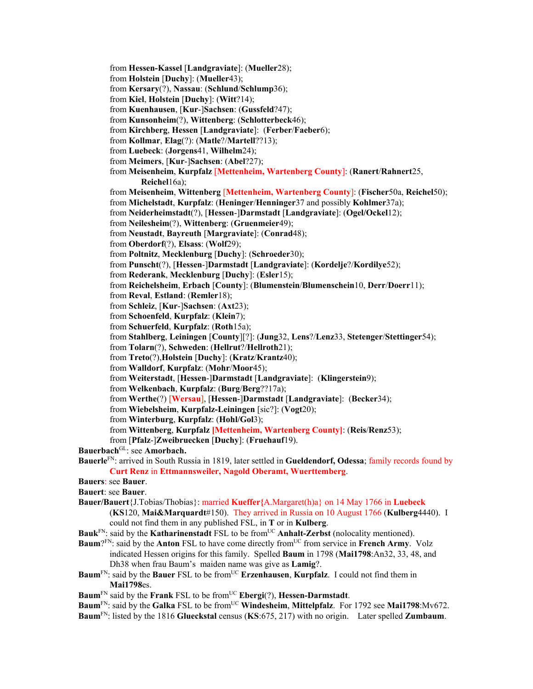from **Hessen-Kassel** [**Landgraviate**]: (**Mueller**28);

from **Holstein** [**Duchy**]: (**Mueller**43);

from **Kersary**(?), **Nassau**: (**Schlund**/**Schlump**36);

from **Kiel**, **Holstein** [**Duchy**]: (**Witt**?14);

from **Kuenhausen**, [**Kur**-]**Sachsen**: (**Gussfeld**?47);

from **Kunsonheim**(?), **Wittenberg**: (**Schlotterbeck**46);

from **Kirchberg**, **Hessen** [**Landgraviate**]: (**Ferber**/**Faeber**6);

from **Kollmar**, **Elag**(?): (**Matle**?/**Martell**??13);

from **Luebeck**: (**Jorgens**41, **Wilhelm**24);

from **Meimers**, [**Kur**-]**Sachsen**: (**Abel**?27);

from **Meisenheim**, **Kurpfalz** [**Mettenheim, Wartenberg County**]: (**Ranert**/**Rahnert**25, **Reichel**16a);

from **Meisenheim**, **Wittenberg** [**Mettenheim, Wartenberg County**]: (**Fischer**50a, **Reichel**50);

from **Michelstadt**, **Kurpfalz**: (**Heninger**/**Henninger**37 and possibly **Kohlmer**37a);

from **Neiderheimstadt**(?), [**Hessen**-]**Darmstadt** [**Landgraviate**]: (**Ogel/Ockel**12);

from **Neilesheim**(?), **Wittenberg**: (**Gruenmeier**49);

from **Neustadt**, **Bayreuth** [**Margraviate**]: (**Conrad**48);

from **Oberdorf**(?), **Elsass**: (**Wolf**29);

from **Poltnitz**, **Mecklenburg** [**Duchy**]: (**Schroeder**30);

from **Punscht**(?), [**Hessen**-]**Darmstadt** [**Landgraviate**]: (**Kordelje**?/**Kordilye**52);

from **Rederank**, **Mecklenburg** [**Duchy**]: (**Esler**15);

from **Reichelsheim**, **Erbach** [**County**]: (**Blumenstein**/**Blumenschein**10, **Derr**/**Doerr**11);

from **Reval**, **Estland**: (**Remler**18);

from **Schleiz**, [**Kur**-]**Sachsen**: (**Axt**23);

from **Schoenfeld**, **Kurpfalz**: (**Klein**7);

from **Schuerfeld**, **Kurpfalz**: (**Roth**15a);

from **Stahlberg**, **Leiningen** [**County**][?]: (**Jung**32, **Lens**?/**Lenz**33, **Stetenger**/**Stettinger**54);

from **Tolarn**(?), **Schweden**: (**Hellrut**?/**Hellroth**21);

from **Treto**(?),**Holstein** [**Duchy**]: (**Kratz**/**Krantz**40);

from **Walldorf**, **Kurpfalz**: (**Mohr**/**Moor**45);

from **Weiterstadt**, [**Hessen**-]**Darmstadt** [**Landgraviate**]: (**Klingerstein**9);

from **Welkenbach**, **Kurpfalz**: (**Burg**/**Berg**??17a);

from **Werthe**(?) [**Wersau**], [**Hessen**-]**Darmstadt** [**Landgraviate**]: (**Becker**34);

from **Wiebelsheim**, **Kurpfalz-Leiningen** [sic?]: (**Vogt**20);

from **Winterburg**, **Kurpfalz**: (**Hohl/Gol**3);

from **Wittenberg**, **Kurpfalz [Mettenheim, Wartenberg County]**: (**Reis**/**Renz**53);

from [**Pfalz**-]**Zweibruecken** [**Duchy**]: (**Fruehauf**19).

Bauerbach<sup>GL</sup>: see Amorbach.

**Bauerle**FN: arrived in South Russia in 1819, later settled in **Gueldendorf, Odessa**; family records found by **Curt Renz** in **Ettmannsweiler, Nagold Oberamt, Wuerttemberg**.

**Bauers**: see **Bauer**.

**Bauert**: see **Bauer**.

**Bauer/Bauert**{J.Tobias/Thobias}: married **Kueffer{**A.Margaret(h)a} on 14 May 1766 in **Luebeck** 

(**KS**120, **Mai&Marquardt**#150). They arrived in Russia on 10 August 1766 (**Kulberg**4440). I could not find them in any published FSL, in **T** or in **Kulberg**.

Bauk<sup>FN</sup>: said by the **Katharinenstadt** FSL to be from<sup>UC</sup> **Anhalt-Zerbst** (nolocality mentioned).

- **Baum**?FN: said by the **Anton** FSL to have come directly from<sup>UC</sup> from service in **French Army**. Volz indicated Hessen origins for this family. Spelled **Baum** in 1798 (**Mai1798**:An32, 33, 48, and Dh38 when frau Baum's maiden name was give as **Lamig**?.
- **Baum**<sup>FN</sup>: said by the **Bauer** FSL to be from<sup>UC</sup> **Erzenhausen**, **Kurpfalz**. I could not find them in **Mai1798**es.

**Baum**FN said by the **Frank** FSL to be fromUC **Ebergi**(?), **Hessen-Darmstadt**.

**Baum**<sup>FN</sup>: said by the **Galka** FSL to be from<sup>UC</sup> **Windesheim**, **Mittelpfalz**. For 1792 see **Mai1798**:Mv672.

**Baum**FN: listed by the 1816 **Glueckstal** census (**KS**:675, 217) with no origin. Later spelled **Zumbaum**.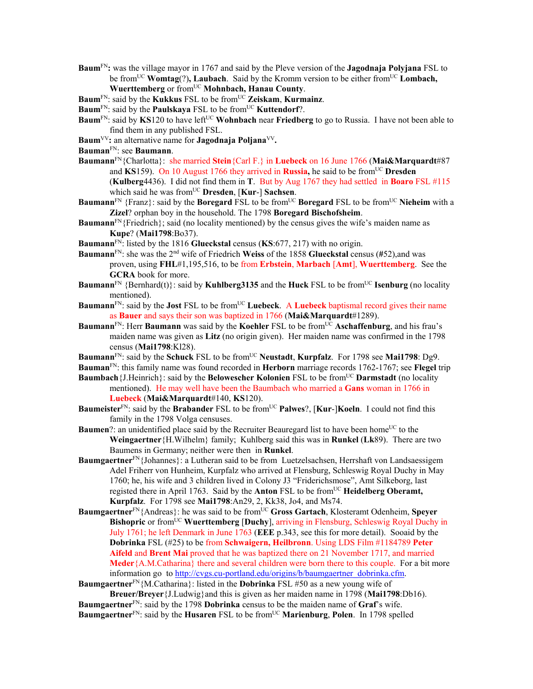**Baum**FN**:** was the village mayor in 1767 and said by the Pleve version of the **Jagodnaja Polyjana** FSL to be from<sup>UC</sup> **Womtag**(?), Laubach. Said by the Kromm version to be either from<sup>UC</sup> Lombach, **Wuerttemberg** or fromUC **Mohnbach, Hanau County**.

**Baum**<sup>FN</sup>: said by the **Kukkus** FSL to be from<sup>UC</sup> **Zeiskam**, **Kurmainz**.

**Baum**<sup>FN</sup>: said by the **Paulskaya** FSL to be from<sup>UC</sup> **Kuttendorf**?.

- **Baum**<sup>FN</sup>: said by **KS**120 to have left<sup>UC</sup> **Wohnbach** near **Friedberg** to go to Russia. I have not been able to find them in any published FSL.
- Baum<sup>VV</sup>: an alternative name for **Jagodnaja Poljana**<sup>VV</sup>.
- **Bauman**FN: see **Baumann**.
- **Baumann**FN{Charlotta}: she married **Stein**{Carl F.} in **Luebeck** on 16 June 1766 (**Mai&Marquardt**#87 and **KS**159). On 10 August 1766 they arrived in **Russia**, he said to be from<sup>UC</sup> Dresden (**Kulberg**4436). I did not find them in **T**. But by Aug 1767 they had settled in **Boaro** FSL #115 which said he was fromUC **Dresden**, [**Kur**-] **Sachsen**.
- **Baumann**<sup>FN</sup> {Franz}: said by the **Boregard** FSL to be from<sup>UC</sup> **Boregard** FSL to be from<sup>UC</sup> **Nieheim** with a **Zizel**? orphan boy in the household. The 1798 **Boregard Bischofsheim**.
- **Baumann**<sup>FN</sup>{Friedrich}; said (no locality mentioned) by the census gives the wife's maiden name as **Kupe**? (**Mai1798**:Bo37).
- **Baumann**FN: listed by the 1816 **Glueckstal** census (**KS**:677, 217) with no origin.
- **Baumann**FN: she was the 2nd wife of Friedrich **Weiss** of the 1858 **Glueckstal** census (**#**52),and was proven, using **FHL**#1,195,516, to be from **Erbstein**, **Marbach** [**Amt**], **Wuerttemberg**. See the **GCRA** book for more.
- **Baumann**<sup>FN</sup> {Bernhard(t)}: said by **Kuhlberg3135** and the **Huck** FSL to be from<sup>UC</sup> **Isenburg** (no locality mentioned).
- **Baumann**<sup>FN</sup>: said by the **Jost** FSL to be from<sup>UC</sup> **Luebeck**. A **Luebeck** baptismal record gives their name as **Bauer** and says their son was baptized in 1766 (**Mai&Marquardt**#1289).
- **Baumann**<sup>FN</sup>: Herr **Baumann** was said by the **Koehler** FSL to be from<sup>UC</sup> Aschaffenburg, and his frau's maiden name was given as **Litz** (no origin given). Her maiden name was confirmed in the 1798 census (**Mai1798**:Kl28).
- **Baumann**<sup>FN</sup>: said by the **Schuck** FSL to be from<sup>UC</sup> **Neustadt**, **Kurpfalz**. For 1798 see **Mai1798**: Dg9.
- **Bauman**FN: this family name was found recorded in **Herborn** marriage records 1762-1767; see **Flegel** trip
- **Baumbach** {J.Heinrich}: said by the **Belowescher Kolonien** FSL to be from<sup>UC</sup> **Darmstadt** (no locality mentioned). He may well have been the Baumbach who married a **Gans** woman in 1766 in **Luebeck** (**Mai&Marquardt**#140, **KS**120).
- **Baumeister**<sup>FN</sup>: said by the **Brabander** FSL to be from<sup>UC</sup> **Palwes**?, [**Kur-**]**Koeln**. I could not find this family in the 1798 Volga censuses.
- **Baumen**?: an unidentified place said by the Recruiter Beauregard list to have been home<sup>UC</sup> to the **Weingaertner**{H.Wilhelm} family; Kuhlberg said this was in **Runkel** (**Lk**89). There are two Baumens in Germany; neither were then in **Runkel**.
- **Baumgaertner**FN{Johannes}: a Lutheran said to be from Luetzelsachsen, Herrshaft von Landsaessigem Adel Friherr von Hunheim, Kurpfalz who arrived at Flensburg, Schleswig Royal Duchy in May 1760; he, his wife and 3 children lived in Colony J3 "Friderichsmose", Amt Silkeborg, last registed there in April 1763. Said by the **Anton** FSL to be from<sup>UC</sup> **Heidelberg Oberamt, Kurpfalz**. For 1798 see **Mai1798**:An29, 2, Kk38, Jo4, and Ms74.
- **Baumgaertner**<sup>FN</sup>{Andreas}: he was said to be from<sup>UC</sup> **Gross Gartach**, Klosteramt Odenheim, Speyer **Bishopric** or from<sup>UC</sup> Wuerttemberg [Duchy], arriving in Flensburg, Schleswig Royal Duchy in July 1761; he left Denmark in June 1763 (**EEE** p.343, see this for more detail). Sooaid by the **Dobrinka** FSL (#25) to be from **Schwaigern, Heilbronn**. Using LDS Film #1184789 **Peter Aifeld** and **Brent Mai** proved that he was baptized there on 21 November 1717, and married **Meder**{A.M.Catharina} there and several children were born there to this couple. For a bit more information go to http://cvgs.cu-portland.edu/origins/b/baumgaertner\_dobrinka.cfm.
- **Baumgaertner**<sup>FN</sup>{M.Catharina}: listed in the **Dobrinka** FSL #50 as a new young wife of **Breuer/Breyer**{J.Ludwig}and this is given as her maiden name in 1798 (**Mai1798**:Db16).

**Baumgaertner**FN: said by the 1798 **Dobrinka** census to be the maiden name of **Graf**'s wife. **Baumgaertner**<sup>FN</sup>: said by the **Husaren** FSL to be from<sup>UC</sup> **Marienburg**, **Polen**. In 1798 spelled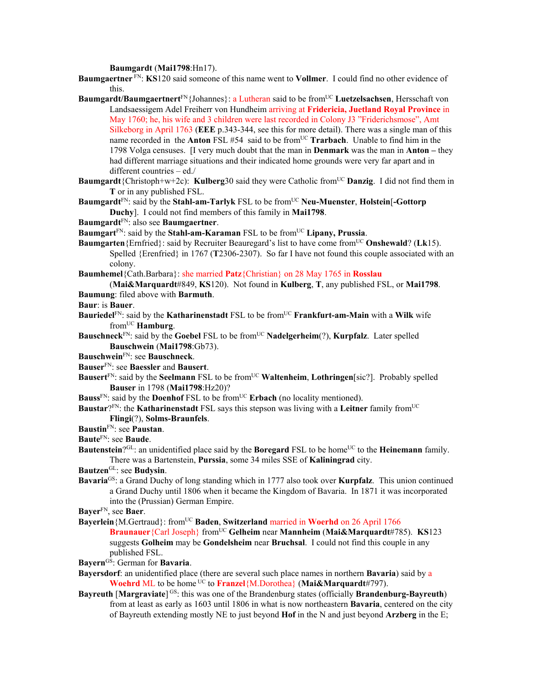**Baumgardt** (**Mai1798**:Hn17).

**Baumgaertner** FN: **KS**120 said someone of this name went to **Vollmer**. I could find no other evidence of this.

**Baumgardt/Baumgaertnert**<sup>FN</sup>{Johannes}: a Lutheran said to be from<sup>UC</sup> Luetzelsachsen, Hersschaft von Landsaessigem Adel Freiherr von Hundheim arriving at **Fridericia, Juetland Royal Province** in May 1760; he, his wife and 3 children were last recorded in Colony J3 "Friderichsmose", Amt Silkeborg in April 1763 (**EEE** p.343-344, see this for more detail). There was a single man of this name recorded in the **Anton** FSL #54 said to be from<sup>UC</sup> **Trarbach**. Unable to find him in the 1798 Volga censuses. [I very much doubt that the man in **Denmark** was the man in **Anton –** they had different marriage situations and their indicated home grounds were very far apart and in different countries – ed./

- **Baumgardt**{Christoph+w+2c): **Kulberg**30 said they were Catholic from<sup>UC</sup> **Danzig**. I did not find them in **T** or in any published FSL.
- **Baumgardt**<sup>FN</sup>: said by the **Stahl-am-Tarlyk** FSL to be from<sup>UC</sup> Neu-Muenster, Holstein<sup>[</sup>-Gottorp] **Duchy**]. I could not find members of this family in **Mai1798**.
- **Baumgardt**FN: also see **Baumgaertner**.
- **Baumgart**<sup>FN</sup>: said by the **Stahl-am-Karaman** FSL to be from<sup>UC</sup> Lipany, Prussia.
- **Baumgarten**{Ernfried}: said by Recruiter Beauregard's list to have come fromUC **Onshewald**? (**Lk**15). Spelled {Erenfried} in 1767 (**T**2306-2307). So far I have not found this couple associated with an colony.
- **Baumhemel**{Cath.Barbara}: she married **Patz**{Christian} on 28 May 1765 in **Rosslau**
- (**Mai&Marquardt**#849, **KS**120). Not found in **Kulberg**, **T**, any published FSL, or **Mai1798**. **Baumung**: filed above with **Barmuth**.
- **Baur**: is **Bauer**.
- **Bauriedel**<sup>FN</sup>: said by the **Katharinenstadt** FSL to be from<sup>UC</sup> **Frankfurt-am-Main** with a Wilk wife fromUC **Hamburg**.
- **Bauschneck**FN: said by the **Goebel** FSL to be fromUC **Nadelgerheim**(?), **Kurpfalz**. Later spelled **Bauschwein** (**Mai1798**:Gb73).
- **Bauschwein**FN: see **Bauschneck**.
- **Bauser**FN: see **Baessler** and **Bausert**.
- **Bausert**<sup>FN</sup>: said by the **Seelmann** FSL to be from<sup>UC</sup> **Waltenheim**, **Lothringen**[sic?]. Probably spelled **Bauser** in 1798 (**Mai1798**:Hz20)?
- **Bauss**<sup>FN</sup>: said by the **Doenhof** FSL to be from<sup>UC</sup> **Erbach** (no locality mentioned).
- **Baustar**?FN: the **Katharinenstadt** FSL says this stepson was living with a **Leitner** family fromUC **Flingi**(?), **Solms-Braunfels**.
- **Baustin**FN: see **Paustan**.
- **Baute**FN: see **Baude**.
- **Bautenstein**?<sup>GL</sup>: an unidentified place said by the **Boregard** FSL to be home<sup>UC</sup> to the **Heinemann** family. There was a Bartenstein, **Purssia**, some 34 miles SSE of **Kaliningrad** city.
- **Bautzen**GL: see **Budysin**.
- **Bavaria**GS: a Grand Duchy of long standing which in 1777 also took over **Kurpfalz**. This union continued a Grand Duchy until 1806 when it became the Kingdom of Bavaria. In 1871 it was incorporated into the (Prussian) German Empire.
- **Bayer**FN, see **Baer**.
- **Bayerlein** {M.Gertraud}: from<sup>UC</sup> **Baden**, **Switzerland** married in **Woerhd** on 26 April 1766
	- **Braunauer**{Carl Joseph} fromUC **Gelheim** near **Mannheim** (**Mai&Marquardt**#785). **KS**123 suggests **Golheim** may be **Gondelsheim** near **Bruchsal**. I could not find this couple in any published FSL.
- **Bayern**GS: German for **Bavaria**.
- **Bayersdorf**: an unidentified place (there are several such place names in northern **Bavaria**) said by a **Woehrd** ML to be home UC to **Franzel**{M.Dorothea} (**Mai&Marquardt**#797).
- **Bayreuth [Margraviate]**<sup>GS</sup>: this was one of the Brandenburg states (officially **Brandenburg-Bayreuth**) from at least as early as 1603 until 1806 in what is now northeastern **Bavaria**, centered on the city of Bayreuth extending mostly NE to just beyond **Hof** in the N and just beyond **Arzberg** in the E;